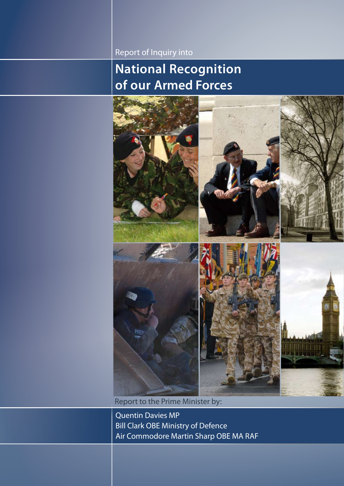Report of Inquiry into

### **National Recognition of our Armed Forces**



Report to the Prime Minister by:

Quentin Davies MP Bill Clark OBE Ministry of Defence Air Commodore Martin Sharp OBE MA RAF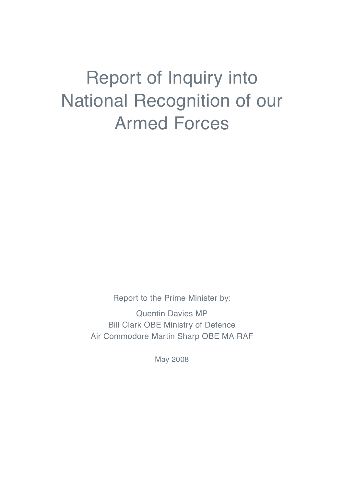## Report of Inquiry into National Recognition of our Armed Forces

Report to the Prime Minister by:

Quentin Davies MP Bill Clark OBE Ministry of Defence Air Commodore Martin Sharp OBE MA RAF

May 2008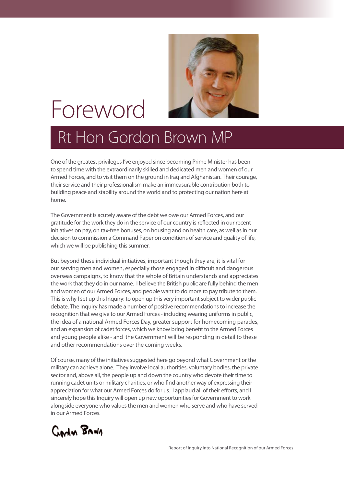

## Foreword

## Rt Hon Gordon Brown MP

One of the greatest privileges I've enjoyed since becoming Prime Minister has been to spend time with the extraordinarily skilled and dedicated men and women of our Armed Forces, and to visit them on the ground in Iraq and Afghanistan. Their courage, their service and their professionalism make an immeasurable contribution both to building peace and stability around the world and to protecting our nation here at home.

The Government is acutely aware of the debt we owe our Armed Forces, and our gratitude for the work they do in the service of our country is reflected in our recent initiatives on pay, on tax-free bonuses, on housing and on health care, as well as in our decision to commission a Command Paper on conditions of service and quality of life, which we will be publishing this summer.

But beyond these individual initiatives, important though they are, it is vital for our serving men and women, especially those engaged in difficult and dangerous overseas campaigns, to know that the whole of Britain understands and appreciates the work that they do in our name. I believe the British public are fully behind the men and women of our Armed Forces, and people want to do more to pay tribute to them. This is why I set up this Inquiry: to open up this very important subject to wider public debate. The Inquiry has made a number of positive recommendations to increase the recognition that we give to our Armed Forces - including wearing uniforms in public, the idea of a national Armed Forces Day, greater support for homecoming parades, and an expansion of cadet forces, which we know bring benefit to the Armed Forces and young people alike - and the Government will be responding in detail to these and other recommendations over the coming weeks.

Of course, many of the initiatives suggested here go beyond what Government or the military can achieve alone. They involve local authorities, voluntary bodies, the private sector and, above all, the people up and down the country who devote their time to running cadet units or military charities, or who find another way of expressing their appreciation for what our Armed Forces do for us. I applaud all of their efforts, and I sincerely hope this Inquiry will open up new opportunities for Government to work alongside everyone who values the men and women who serve and who have served in our Armed Forces.

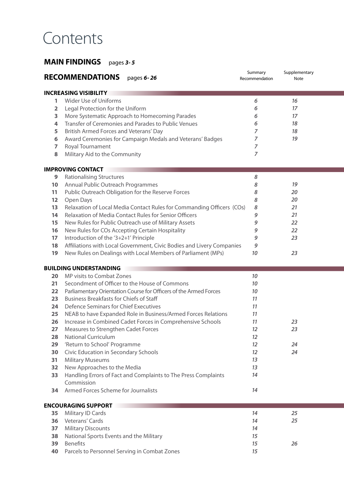## **Contents**

### **MAIN FINDINGS** pages *3- 5*

|                | <b>RECOMMENDATIONS</b><br>pages 6-26                                                                                                  | Summary<br>Recommendation | Supplementary<br>Note |
|----------------|---------------------------------------------------------------------------------------------------------------------------------------|---------------------------|-----------------------|
|                | <b>INCREASING VISIBILITY</b>                                                                                                          |                           |                       |
| 1              | Wider Use of Uniforms                                                                                                                 | 6                         | 16                    |
| $\overline{2}$ | Legal Protection for the Uniform                                                                                                      | 6                         | 17                    |
| 3              | More Systematic Approach to Homecoming Parades                                                                                        | 6                         | 17                    |
| 4              | Transfer of Ceremonies and Parades to Public Venues                                                                                   | 6                         | 18                    |
| 5              | British Armed Forces and Veterans' Day                                                                                                | $\overline{z}$            | 18                    |
| 6              | Award Ceremonies for Campaign Medals and Veterans' Badges                                                                             | $\overline{z}$            | 19                    |
| 7              | Royal Tournament                                                                                                                      | $\overline{z}$            |                       |
| 8              | Military Aid to the Community                                                                                                         | $\overline{7}$            |                       |
|                | <b>IMPROVING CONTACT</b>                                                                                                              |                           |                       |
| 9              | <b>Rationalising Structures</b>                                                                                                       | 8                         |                       |
| 10             | Annual Public Outreach Programmes                                                                                                     | 8                         | 19                    |
| 11             | Public Outreach Obligation for the Reserve Forces                                                                                     | 8                         | 20                    |
| 12             |                                                                                                                                       | 8                         | 20                    |
| 13             | Open Days<br>Relaxation of Local Media Contact Rules for Commanding Officers (COs)                                                    | 8                         | 21                    |
| 14             | <b>Relaxation of Media Contact Rules for Senior Officers</b>                                                                          | 9                         | 21                    |
|                |                                                                                                                                       | 9                         | 22                    |
| 15             | New Rules for Public Outreach use of Military Assets                                                                                  | 9                         | 22                    |
| 16             | New Rules for COs Accepting Certain Hospitality                                                                                       | 9                         | 23                    |
| 17             | Introduction of the '3+2+1' Principle                                                                                                 | 9                         |                       |
| 18<br>19       | Affiliations with Local Government, Civic Bodies and Livery Companies<br>New Rules on Dealings with Local Members of Parliament (MPs) | 10                        | 23                    |
|                |                                                                                                                                       |                           |                       |
|                | <b>BUILDING UNDERSTANDING</b>                                                                                                         |                           |                       |
| 20             | MP visits to Combat Zones                                                                                                             | 10                        |                       |
| 21             | Secondment of Officer to the House of Commons                                                                                         | 10                        |                       |
| 22             | Parliamentary Orientation Course for Officers of the Armed Forces                                                                     | 10                        |                       |
| 23             | <b>Business Breakfasts for Chiefs of Staff</b>                                                                                        | 11                        |                       |
| 24             | Defence Seminars for Chief Executives                                                                                                 | 11                        |                       |
| 25             | NEAB to have Expanded Role in Business/Armed Forces Relations                                                                         | 11                        |                       |
| 26             | Increase in Combined Cadet Forces in Comprehensive Schools                                                                            | 11                        | 23                    |
| 27             | Measures to Strengthen Cadet Forces                                                                                                   | 12                        | 23                    |
| 28             | <b>National Curriculum</b>                                                                                                            | $12 \overline{ }$         |                       |
| 29             | 'Return to School' Programme                                                                                                          | 12                        | 24                    |
| 30             | Civic Education in Secondary Schools                                                                                                  | $12 \overline{ }$         | 24                    |
| 31             | <b>Military Museums</b>                                                                                                               | 13                        |                       |
| 32             | New Approaches to the Media                                                                                                           | 13                        |                       |
| 33             | Handling Errors of Fact and Complaints to The Press Complaints                                                                        | 14                        |                       |
| 34             | Commission<br>Armed Forces Scheme for Journalists                                                                                     | 14                        |                       |
|                |                                                                                                                                       |                           |                       |
|                | <b>ENCOURAGING SUPPORT</b>                                                                                                            |                           |                       |
| 35             | Military ID Cards                                                                                                                     | 14                        | 25                    |
| 36             | Veterans' Cards                                                                                                                       | 14                        | 25                    |
| 37             | <b>Military Discounts</b>                                                                                                             | 14                        |                       |
| 38             | National Sports Events and the Military                                                                                               | 15                        |                       |
| 39             | <b>Benefits</b>                                                                                                                       | 15                        | 26                    |
| 40             | Parcels to Personnel Serving in Combat Zones                                                                                          | 15                        |                       |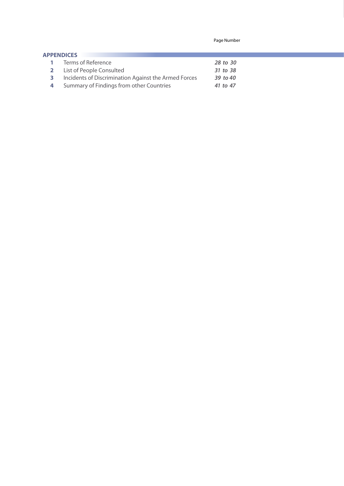Page Number

| <b>APPENDICES</b> |                                                      |          |
|-------------------|------------------------------------------------------|----------|
|                   | <b>1</b> Terms of Reference                          | 28 to 30 |
|                   | 2 List of People Consulted                           | 31 to 38 |
| 3.                | Incidents of Discrimination Against the Armed Forces | 39 to 40 |
| 4                 | Summary of Findings from other Countries             | 41 to 47 |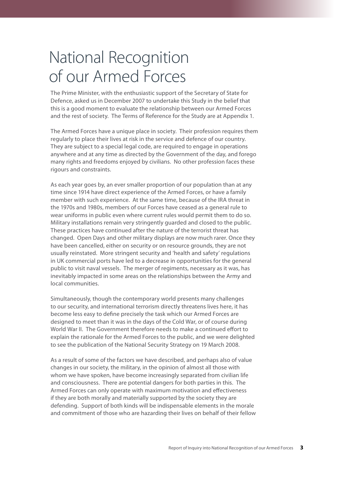## National Recognition of our Armed Forces

The Prime Minister, with the enthusiastic support of the Secretary of State for Defence, asked us in December 2007 to undertake this Study in the belief that this is a good moment to evaluate the relationship between our Armed Forces and the rest of society. The Terms of Reference for the Study are at Appendix 1.

The Armed Forces have a unique place in society. Their profession requires them regularly to place their lives at risk in the service and defence of our country. They are subject to a special legal code, are required to engage in operations anywhere and at any time as directed by the Government of the day, and forego many rights and freedoms enjoyed by civilians. No other profession faces these rigours and constraints.

As each year goes by, an ever smaller proportion of our population than at any time since 1914 have direct experience of the Armed Forces, or have a family member with such experience. At the same time, because of the IRA threat in the 1970s and 1980s, members of our Forces have ceased as a general rule to wear uniforms in public even where current rules would permit them to do so. Military installations remain very stringently guarded and closed to the public. These practices have continued after the nature of the terrorist threat has changed. Open Days and other military displays are now much rarer. Once they have been cancelled, either on security or on resource grounds, they are not usually reinstated. More stringent security and 'health and safety' regulations in UK commercial ports have led to a decrease in opportunities for the general public to visit naval vessels. The merger of regiments, necessary as it was, has inevitably impacted in some areas on the relationships between the Army and local communities.

Simultaneously, though the contemporary world presents many challenges to our security, and international terrorism directly threatens lives here, it has become less easy to define precisely the task which our Armed Forces are designed to meet than it was in the days of the Cold War, or of course during World War II. The Government therefore needs to make a continued effort to explain the rationale for the Armed Forces to the public, and we were delighted to see the publication of the National Security Strategy on 19 March 2008.

As a result of some of the factors we have described, and perhaps also of value changes in our society, the military, in the opinion of almost all those with whom we have spoken, have become increasingly separated from civilian life and consciousness. There are potential dangers for both parties in this. The Armed Forces can only operate with maximum motivation and effectiveness if they are both morally and materially supported by the society they are defending. Support of both kinds will be indispensable elements in the morale and commitment of those who are hazarding their lives on behalf of their fellow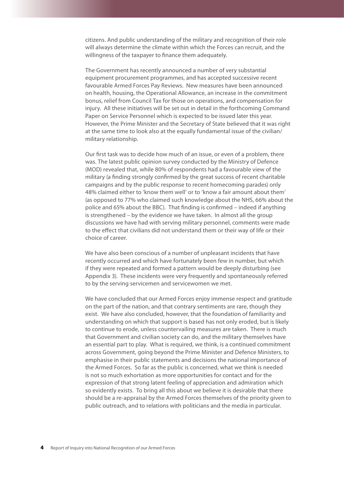citizens. And public understanding of the military and recognition of their role will always determine the climate within which the Forces can recruit, and the willingness of the taxpayer to finance them adequately.

The Government has recently announced a number of very substantial equipment procurement programmes, and has accepted successive recent favourable Armed Forces Pay Reviews. New measures have been announced on health, housing, the Operational Allowance, an increase in the commitment bonus, relief from Council Tax for those on operations, and compensation for injury. All these initiatives will be set out in detail in the forthcoming Command Paper on Service Personnel which is expected to be issued later this year. However, the Prime Minister and the Secretary of State believed that it was right at the same time to look also at the equally fundamental issue of the civilian/ military relationship.

Our first task was to decide how much of an issue, or even of a problem, there was. The latest public opinion survey conducted by the Ministry of Defence (MOD) revealed that, while 80% of respondents had a favourable view of the military (a finding strongly confirmed by the great success of recent charitable campaigns and by the public response to recent homecoming parades) only 48% claimed either to 'know them well' or to 'know a fair amount about them' (as opposed to 77% who claimed such knowledge about the NHS, 66% about the police and 65% about the BBC). That finding is confirmed – indeed if anything is strengthened – by the evidence we have taken. In almost all the group discussions we have had with serving military personnel, comments were made to the effect that civilians did not understand them or their way of life or their choice of career.

We have also been conscious of a number of unpleasant incidents that have recently occurred and which have fortunately been few in number, but which if they were repeated and formed a pattern would be deeply disturbing (see Appendix 3). These incidents were very frequently and spontaneously referred to by the serving servicemen and servicewomen we met.

We have concluded that our Armed Forces enjoy immense respect and gratitude on the part of the nation, and that contrary sentiments are rare, though they exist. We have also concluded, however, that the foundation of familiarity and understanding on which that support is based has not only eroded, but is likely to continue to erode, unless countervailing measures are taken. There is much that Government and civilian society can do, and the military themselves have an essential part to play. What is required, we think, is a continued commitment across Government, going beyond the Prime Minister and Defence Ministers, to emphasise in their public statements and decisions the national importance of the Armed Forces. So far as the public is concerned, what we think is needed is not so much exhortation as more opportunities for contact and for the expression of that strong latent feeling of appreciation and admiration which so evidently exists. To bring all this about we believe it is desirable that there should be a re-appraisal by the Armed Forces themselves of the priority given to public outreach, and to relations with politicians and the media in particular.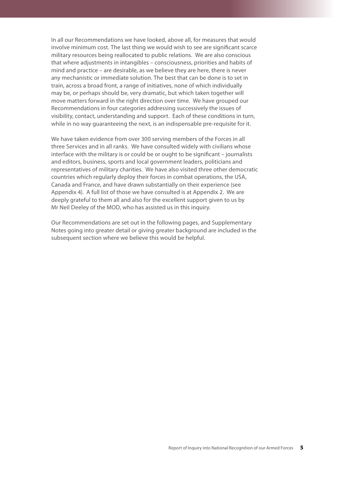In all our Recommendations we have looked, above all, for measures that would involve minimum cost. The last thing we would wish to see are significant scarce military resources being reallocated to public relations. We are also conscious that where adjustments in intangibles – consciousness, priorities and habits of mind and practice – are desirable, as we believe they are here, there is never any mechanistic or immediate solution. The best that can be done is to set in train, across a broad front, a range of initiatives, none of which individually may be, or perhaps should be, very dramatic, but which taken together will move matters forward in the right direction over time. We have grouped our Recommendations in four categories addressing successively the issues of visibility, contact, understanding and support. Each of these conditions in turn, while in no way guaranteeing the next, is an indispensable pre-requisite for it.

We have taken evidence from over 300 serving members of the Forces in all three Services and in all ranks. We have consulted widely with civilians whose interface with the military is or could be or ought to be significant – journalists and editors, business, sports and local government leaders, politicians and representatives of military charities. We have also visited three other democratic countries which regularly deploy their forces in combat operations, the USA, Canada and France, and have drawn substantially on their experience (see Appendix 4). A full list of those we have consulted is at Appendix 2. We are deeply grateful to them all and also for the excellent support given to us by Mr Neil Deeley of the MOD, who has assisted us in this inquiry.

Our Recommendations are set out in the following pages, and Supplementary Notes going into greater detail or giving greater background are included in the subsequent section where we believe this would be helpful.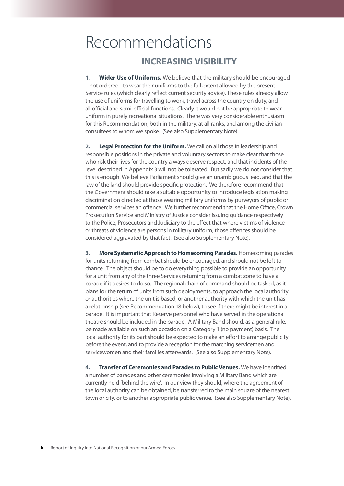### Recommendations **INCREASING VISIBILITY**

**1. Wider Use of Uniforms.** We believe that the military should be encouraged – not ordered - to wear their uniforms to the full extent allowed by the present Service rules (which clearly reflect current security advice). These rules already allow the use of uniforms for travelling to work, travel across the country on duty, and all official and semi-official functions. Clearly it would not be appropriate to wear uniform in purely recreational situations. There was very considerable enthusiasm for this Recommendation, both in the military, at all ranks, and among the civilian consultees to whom we spoke. (See also Supplementary Note).

**2. Legal Protection for the Uniform.** We call on all those in leadership and responsible positions in the private and voluntary sectors to make clear that those who risk their lives for the country always deserve respect, and that incidents of the level described in Appendix 3 will not be tolerated. But sadly we do not consider that this is enough. We believe Parliament should give an unambiguous lead, and that the law of the land should provide specific protection. We therefore recommend that the Government should take a suitable opportunity to introduce legislation making discrimination directed at those wearing military uniforms by purveyors of public or commercial services an offence. We further recommend that the Home Office, Crown Prosecution Service and Ministry of Justice consider issuing guidance respectively to the Police, Prosecutors and Judiciary to the effect that where victims of violence or threats of violence are persons in military uniform, those offences should be considered aggravated by that fact. (See also Supplementary Note).

**3. More Systematic Approach to Homecoming Parades.** Homecoming parades for units returning from combat should be encouraged, and should not be left to chance. The object should be to do everything possible to provide an opportunity for a unit from any of the three Services returning from a combat zone to have a parade if it desires to do so. The regional chain of command should be tasked, as it plans for the return of units from such deployments, to approach the local authority or authorities where the unit is based, or another authority with which the unit has a relationship (see Recommendation 18 below), to see if there might be interest in a parade. It is important that Reserve personnel who have served in the operational theatre should be included in the parade. A Military Band should, as a general rule, be made available on such an occasion on a Category 1 (no payment) basis. The local authority for its part should be expected to make an effort to arrange publicity before the event, and to provide a reception for the marching servicemen and servicewomen and their families afterwards. (See also Supplementary Note).

**4. Transfer of Ceremonies and Parades to Public Venues.** We have identified a number of parades and other ceremonies involving a Military Band which are currently held 'behind the wire'. In our view they should, where the agreement of the local authority can be obtained, be transferred to the main square of the nearest town or city, or to another appropriate public venue. (See also Supplementary Note).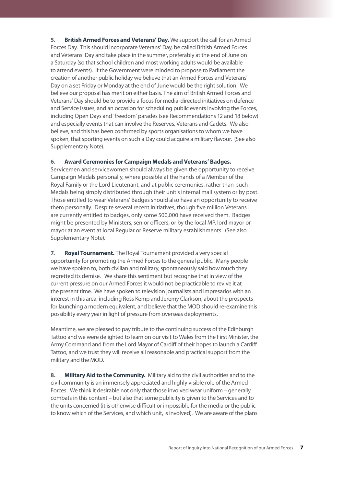**5. British Armed Forces and Veterans' Day.** We support the call for an Armed Forces Day. This should incorporate Veterans' Day, be called British Armed Forces and Veterans' Day and take place in the summer, preferably at the end of June on a Saturday (so that school children and most working adults would be available to attend events). If the Government were minded to propose to Parliament the creation of another public holiday we believe that an Armed Forces and Veterans' Day on a set Friday or Monday at the end of June would be the right solution. We believe our proposal has merit on either basis. The aim of British Armed Forces and Veterans' Day should be to provide a focus for media-directed initiatives on defence and Service issues, and an occasion for scheduling public events involving the Forces, including Open Days and 'freedom' parades (see Recommendations 12 and 18 below) and especially events that can involve the Reserves, Veterans and Cadets. We also believe, and this has been confirmed by sports organisations to whom we have spoken, that sporting events on such a Day could acquire a military flavour. (See also Supplementary Note).

### **6. Award Ceremonies for Campaign Medals and Veterans' Badges.**

Servicemen and servicewomen should always be given the opportunity to receive Campaign Medals personally, where possible at the hands of a Member of the Royal Family or the Lord Lieutenant, and at public ceremonies, rather than such Medals being simply distributed through their unit's internal mail system or by post. Those entitled to wear Veterans' Badges should also have an opportunity to receive them personally. Despite several recent initiatives, though five million Veterans are currently entitled to badges, only some 500,000 have received them. Badges might be presented by Ministers, senior officers, or by the local MP, lord mayor or mayor at an event at local Regular or Reserve military establishments. (See also Supplementary Note).

**7. Royal Tournament.** The Royal Tournament provided a very special opportunity for promoting the Armed Forces to the general public. Many people we have spoken to, both civilian and military, spontaneously said how much they regretted its demise. We share this sentiment but recognise that in view of the current pressure on our Armed Forces it would not be practicable to revive it at the present time. We have spoken to television journalists and impresarios with an interest in this area, including Ross Kemp and Jeremy Clarkson, about the prospects for launching a modern equivalent, and believe that the MOD should re-examine this possibility every year in light of pressure from overseas deployments.

Meantime, we are pleased to pay tribute to the continuing success of the Edinburgh Tattoo and we were delighted to learn on our visit to Wales from the First Minister, the Army Command and from the Lord Mayor of Cardiff of their hopes to launch a Cardiff Tattoo, and we trust they will receive all reasonable and practical support from the military and the MOD.

**8. Military Aid to the Community.** Military aid to the civil authorities and to the civil community is an immensely appreciated and highly visible role of the Armed Forces. We think it desirable not only that those involved wear uniform – generally combats in this context – but also that some publicity is given to the Services and to the units concerned (it is otherwise difficult or impossible for the media or the public to know which of the Services, and which unit, is involved). We are aware of the plans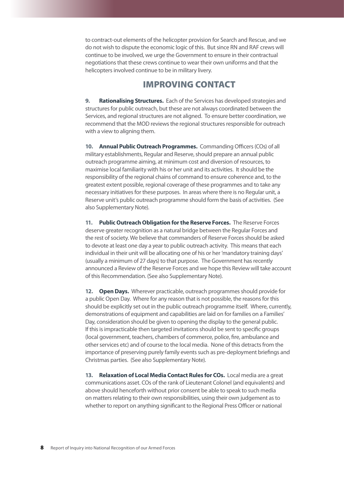to contract-out elements of the helicopter provision for Search and Rescue, and we do not wish to dispute the economic logic of this. But since RN and RAF crews will continue to be involved, we urge the Government to ensure in their contractual negotiations that these crews continue to wear their own uniforms and that the helicopters involved continue to be in military livery.

### IMPROVING CONTACT

**9. Rationalising Structures.** Each of the Services has developed strategies and structures for public outreach, but these are not always coordinated between the Services, and regional structures are not aligned. To ensure better coordination, we recommend that the MOD reviews the regional structures responsible for outreach with a view to aligning them.

**10. Annual Public Outreach Programmes.** Commanding Officers (COs) of all military establishments, Regular and Reserve, should prepare an annual public outreach programme aiming, at minimum cost and diversion of resources, to maximise local familiarity with his or her unit and its activities. It should be the responsibility of the regional chains of command to ensure coherence and, to the greatest extent possible, regional coverage of these programmes and to take any necessary initiatives for these purposes. In areas where there is no Regular unit, a Reserve unit's public outreach programme should form the basis of activities. (See also Supplementary Note).

**11. Public Outreach Obligation for the Reserve Forces.** The Reserve Forces deserve greater recognition as a natural bridge between the Regular Forces and the rest of society. We believe that commanders of Reserve Forces should be asked to devote at least one day a year to public outreach activity. This means that each individual in their unit will be allocating one of his or her 'mandatory training days' (usually a minimum of 27 days) to that purpose. The Government has recently announced a Review of the Reserve Forces and we hope this Review will take account of this Recommendation. (See also Supplementary Note).

**12. Open Days.** Wherever practicable, outreach programmes should provide for a public Open Day. Where for any reason that is not possible, the reasons for this should be explicitly set out in the public outreach programme itself. Where, currently, demonstrations of equipment and capabilities are laid on for families on a Families' Day, consideration should be given to opening the display to the general public. If this is impracticable then targeted invitations should be sent to specific groups (local government, teachers, chambers of commerce, police, fire, ambulance and other services etc) and of course to the local media. None of this detracts from the importance of preserving purely family events such as pre-deployment briefings and Christmas parties. (See also Supplementary Note).

**13. Relaxation of Local Media Contact Rules for COs.** Local media are a great communications asset. COs of the rank of Lieutenant Colonel (and equivalents) and above should henceforth without prior consent be able to speak to such media on matters relating to their own responsibilities, using their own judgement as to whether to report on anything significant to the Regional Press Officer or national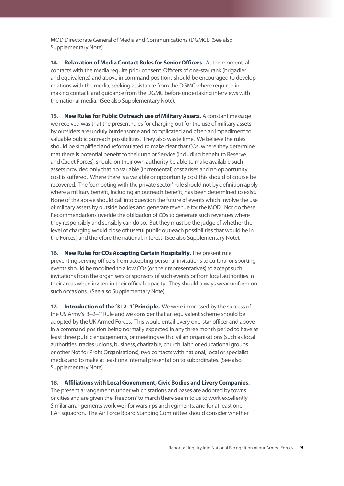MOD Directorate General of Media and Communications (DGMC). (See also Supplementary Note).

**14. Relaxation of Media Contact Rules for Senior Officers.** At the moment, all contacts with the media require prior consent. Officers of one-star rank (brigadier and equivalents) and above in command positions should be encouraged to develop relations with the media, seeking assistance from the DGMC where required in making contact, and guidance from the DGMC before undertaking interviews with the national media. (See also Supplementary Note).

**15. New Rules for Public Outreach use of Military Assets.** A constant message we received was that the present rules for charging out for the use of military assets by outsiders are unduly burdensome and complicated and often an impediment to valuable public outreach possibilities. They also waste time. We believe the rules should be simplified and reformulated to make clear that COs, where they determine that there is potential benefit to their unit or Service (including benefit to Reserve and Cadet Forces), should on their own authority be able to make available such assets provided only that no variable (incremental) cost arises and no opportunity cost is suffered. Where there is a variable or opportunity cost this should of course be recovered. The 'competing with the private sector' rule should not by definition apply where a military benefit, including an outreach benefit, has been determined to exist. None of the above should call into question the future of events which involve the use of military assets by outside bodies and generate revenue for the MOD. Nor do these Recommendations overide the obligation of COs to generate such revenues where they responsibly and sensibly can do so. But they must be the judge of whether the level of charging would close off useful public outreach possibilities that would be in the Forces', and therefore the national, interest. (See also Supplementary Note).

**16. New Rules for COs Accepting Certain Hospitality.** The present rule preventing serving officers from accepting personal invitations to cultural or sporting events should be modified to allow COs (or their representatives) to accept such invitations from the organisers or sponsors of such events or from local authorities in their areas when invited in their official capacity. They should always wear uniform on such occasions. (See also Supplementary Note).

**17. Introduction of the '3+2+1' Principle.** We were impressed by the success of the US Army's '3+2+1' Rule and we consider that an equivalent scheme should be adopted by the UK Armed Forces. This would entail every one-star officer and above in a command position being normally expected in any three month period to have at least three public engagements, or meetings with civilian organisations (such as local authorities, trades unions, business, charitable, church, faith or educational groups or other Not for Profit Organisations); two contacts with national, local or specialist media; and to make at least one internal presentation to subordinates. (See also Supplementary Note).

### **18. Affiliations with Local Government, Civic Bodies and Livery Companies.**

The present arrangements under which stations and bases are adopted by towns or cities and are given the 'freedom' to march there seem to us to work excellently. Similar arrangements work well for warships and regiments, and for at least one RAF squadron. The Air Force Board Standing Committee should consider whether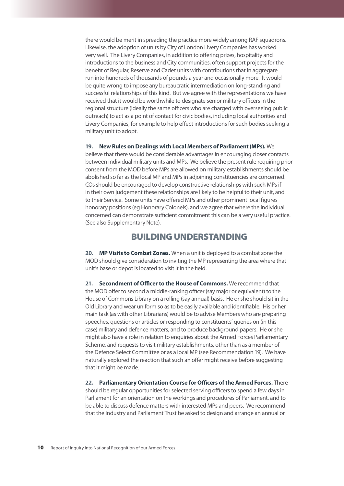there would be merit in spreading the practice more widely among RAF squadrons. Likewise, the adoption of units by City of London Livery Companies has worked very well. The Livery Companies, in addition to offering prizes, hospitality and introductions to the business and City communities, often support projects for the benefit of Regular, Reserve and Cadet units with contributions that in aggregate run into hundreds of thousands of pounds a year and occasionally more. It would be quite wrong to impose any bureaucratic intermediation on long-standing and successful relationships of this kind. But we agree with the representations we have received that it would be worthwhile to designate senior military officers in the regional structure (ideally the same officers who are charged with overseeing public outreach) to act as a point of contact for civic bodies, including local authorities and Livery Companies, for example to help effect introductions for such bodies seeking a military unit to adopt.

**19. New Rules on Dealings with Local Members of Parliament (MPs).** We believe that there would be considerable advantages in encouraging closer contacts between individual military units and MPs. We believe the present rule requiring prior consent from the MOD before MPs are allowed on military establishments should be abolished so far as the local MP and MPs in adjoining constituencies are concerned. COs should be encouraged to develop constructive relationships with such MPs if in their own judgement these relationships are likely to be helpful to their unit, and to their Service. Some units have offered MPs and other prominent local figures honorary positions (eg Honorary Colonels), and we agree that where the individual concerned can demonstrate sufficient commitment this can be a very useful practice. (See also Supplementary Note).

### BUILDING UNDERSTANDING

**20. MP Visits to Combat Zones.** When a unit is deployed to a combat zone the MOD should give consideration to inviting the MP representing the area where that unit's base or depot is located to visit it in the field.

**21. Secondment of Officer to the House of Commons.** We recommend that the MOD offer to second a middle-ranking officer (say major or equivalent) to the House of Commons Library on a rolling (say annual) basis. He or she should sit in the Old Library and wear uniform so as to be easily available and identifiable. His or her main task (as with other Librarians) would be to advise Members who are preparing speeches, questions or articles or responding to constituents' queries on (in this case) military and defence matters, and to produce background papers. He or she might also have a role in relation to enquiries about the Armed Forces Parliamentary Scheme, and requests to visit military establishments, other than as a member of the Defence Select Committee or as a local MP (see Recommendation 19). We have naturally explored the reaction that such an offer might receive before suggesting that it might be made.

**22. Parliamentary Orientation Course for Officers of the Armed Forces.** There should be regular opportunities for selected serving officers to spend a few days in Parliament for an orientation on the workings and procedures of Parliament, and to be able to discuss defence matters with interested MPs and peers. We recommend that the Industry and Parliament Trust be asked to design and arrange an annual or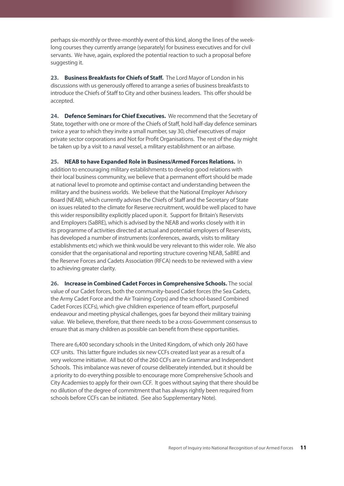perhaps six-monthly or three-monthly event of this kind, along the lines of the weeklong courses they currently arrange (separately) for business executives and for civil servants. We have, again, explored the potential reaction to such a proposal before suggesting it.

**23. Business Breakfasts for Chiefs of Staff.** The Lord Mayor of London in his discussions with us generously offered to arrange a series of business breakfasts to introduce the Chiefs of Staff to City and other business leaders. This offer should be accepted.

**24. Defence Seminars for Chief Executives.** We recommend that the Secretary of State, together with one or more of the Chiefs of Staff, hold half-day defence seminars twice a year to which they invite a small number, say 30, chief executives of major private sector corporations and Not for Profit Organisations. The rest of the day might be taken up by a visit to a naval vessel, a military establishment or an airbase.

**25. NEAB to have Expanded Role in Business/Armed Forces Relations.** In addition to encouraging military establishments to develop good relations with their local business community, we believe that a permanent effort should be made at national level to promote and optimise contact and understanding between the military and the business worlds. We believe that the National Employer Advisory Board (NEAB), which currently advises the Chiefs of Staff and the Secretary of State on issues related to the climate for Reserve recruitment, would be well placed to have this wider responsibility explicitly placed upon it. Support for Britain's Reservists and Employers (SaBRE), which is advised by the NEAB and works closely with it in its programme of activities directed at actual and potential employers of Reservists, has developed a number of instruments (conferences, awards, visits to military establishments etc) which we think would be very relevant to this wider role. We also consider that the organisational and reporting structure covering NEAB, SaBRE and the Reserve Forces and Cadets Association (RFCA) needs to be reviewed with a view to achieving greater clarity.

**26. Increase in Combined Cadet Forces in Comprehensive Schools.** The social value of our Cadet forces, both the community-based Cadet forces (the Sea Cadets, the Army Cadet Force and the Air Training Corps) and the school-based Combined Cadet Forces (CCFs), which give children experience of team effort, purposeful endeavour and meeting physical challenges, goes far beyond their military training value. We believe, therefore, that there needs to be a cross-Government consensus to ensure that as many children as possible can benefit from these opportunities.

There are 6,400 secondary schools in the United Kingdom, of which only 260 have CCF units. This latter figure includes six new CCFs created last year as a result of a very welcome initiative. All but 60 of the 260 CCFs are in Grammar and Independent Schools. This imbalance was never of course deliberately intended, but it should be a priority to do everything possible to encourage more Comprehensive Schools and City Academies to apply for their own CCF. It goes without saying that there should be no dilution of the degree of commitment that has always rightly been required from schools before CCFs can be initiated. (See also Supplementary Note).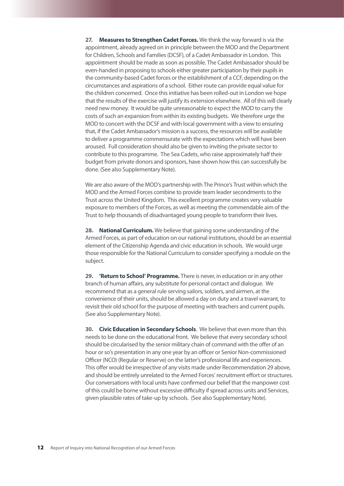**27. Measures to Strengthen Cadet Forces.** We think the way forward is via the appointment, already agreed on in principle between the MOD and the Department for Children, Schools and Families (DCSF), of a Cadet Ambassador in London. This appointment should be made as soon as possible. The Cadet Ambassador should be even-handed in proposing to schools either greater participation by their pupils in the community-based Cadet forces or the establishment of a CCF, depending on the circumstances and aspirations of a school. Either route can provide equal value for the children concerned. Once this initiative has been rolled-out in London we hope that the results of the exercise will justify its extension elsewhere. All of this will clearly need new money. It would be quite unreasonable to expect the MOD to carry the costs of such an expansion from within its existing budgets. We therefore urge the MOD to concert with the DCSF and with local government with a view to ensuring that, if the Cadet Ambassador's mission is a success, the resources will be available to deliver a programme commensurate with the expectations which will have been aroused. Full consideration should also be given to inviting the private sector to contribute to this programme. The Sea Cadets, who raise approximately half their budget from private donors and sponsors, have shown how this can successfully be done. (See also Supplementary Note).

We are also aware of the MOD's partnership with The Prince's Trust within which the MOD and the Armed Forces combine to provide team leader secondments to the Trust across the United Kingdom. This excellent programme creates very valuable exposure to members of the Forces, as well as meeting the commendable aim of the Trust to help thousands of disadvantaged young people to transform their lives.

**28. National Curriculum.** We believe that gaining some understanding of the Armed Forces, as part of education on our national institutions, should be an essential element of the Citizenship Agenda and civic education in schools. We would urge those responsible for the National Curriculum to consider specifying a module on the subject.

**29. 'Return to School' Programme.** There is never, in education or in any other branch of human affairs, any substitute for personal contact and dialogue. We recommend that as a general rule serving sailors, soldiers, and airmen, at the convenience of their units, should be allowed a day on duty and a travel warrant, to revisit their old school for the purpose of meeting with teachers and current pupils. (See also Supplementary Note).

**30. Civic Education in Secondary Schools**. We believe that even more than this needs to be done on the educational front. We believe that every secondary school should be circularised by the senior military chain of command with the offer of an hour or so's presentation in any one year by an officer or Senior Non-commissioned Officer (NCO) (Regular or Reserve) on the latter's professional life and experiences. This offer would be irrespective of any visits made under Recommendation 29 above, and should be entirely unrelated to the Armed Forces' recruitment effort or structures. Our conversations with local units have confirmed our belief that the manpower cost of this could be borne without excessive difficulty if spread across units and Services, given plausible rates of take-up by schools. (See also Supplementary Note).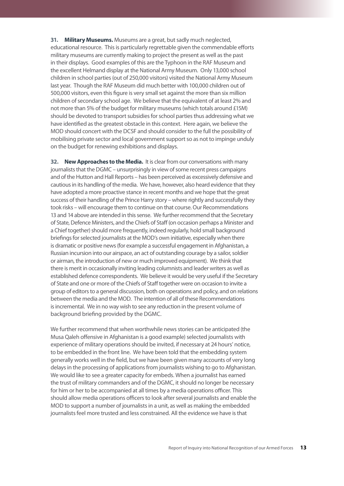**31. Military Museums.** Museums are a great, but sadly much neglected, educational resource. This is particularly regrettable given the commendable efforts military museums are currently making to project the present as well as the past in their displays. Good examples of this are the Typhoon in the RAF Museum and the excellent Helmand display at the National Army Museum. Only 13,000 school children in school parties (out of 250,000 visitors) visited the National Army Museum last year. Though the RAF Museum did much better with 100,000 children out of 500,000 visitors, even this figure is very small set against the more than six million children of secondary school age. We believe that the equivalent of at least 2% and not more than 5% of the budget for military museums (which totals around £15M) should be devoted to transport subsidies for school parties thus addressing what we have identified as the greatest obstacle in this context. Here again, we believe the MOD should concert with the DCSF and should consider to the full the possibility of mobilising private sector and local government support so as not to impinge unduly on the budget for renewing exhibitions and displays.

**32. New Approaches to the Media.** It is clear from our conversations with many journalists that the DGMC – unsurprisingly in view of some recent press campaigns and of the Hutton and Hall Reports – has been perceived as excessively defensive and cautious in its handling of the media. We have, however, also heard evidence that they have adopted a more proactive stance in recent months and we hope that the great success of their handling of the Prince Harry story – where rightly and successfully they took risks – will encourage them to continue on that course. Our Recommendations 13 and 14 above are intended in this sense. We further recommend that the Secretary of State, Defence Ministers, and the Chiefs of Staff (on occasion perhaps a Minister and a Chief together) should more frequently, indeed regularly, hold small background briefings for selected journalists at the MOD's own initiative, especially when there is dramatic or positive news (for example a successful engagement in Afghanistan, a Russian incursion into our airspace, an act of outstanding courage by a sailor, soldier or airman, the introduction of new or much improved equipment). We think that there is merit in occasionally inviting leading columnists and leader writers as well as established defence correspondents. We believe it would be very useful if the Secretary of State and one or more of the Chiefs of Staff together were on occasion to invite a group of editors to a general discussion, both on operations and policy, and on relations between the media and the MOD. The intention of all of these Recommendations is incremental. We in no way wish to see any reduction in the present volume of background briefing provided by the DGMC.

We further recommend that when worthwhile news stories can be anticipated (the Musa Qaleh offensive in Afghanistan is a good example) selected journalists with experience of military operations should be invited, if necessary at 24 hours' notice, to be embedded in the front line. We have been told that the embedding system generally works well in the field, but we have been given many accounts of very long delays in the processing of applications from journalists wishing to go to Afghanistan. We would like to see a greater capacity for embeds. When a journalist has earned the trust of military commanders and of the DGMC, it should no longer be necessary for him or her to be accompanied at all times by a media operations officer. This should allow media operations officers to look after several journalists and enable the MOD to support a number of journalists in a unit, as well as making the embedded journalists feel more trusted and less constrained. All the evidence we have is that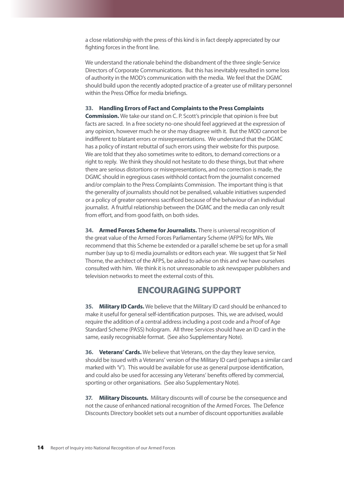a close relationship with the press of this kind is in fact deeply appreciated by our fighting forces in the front line.

We understand the rationale behind the disbandment of the three single-Service Directors of Corporate Communications. But this has inevitably resulted in some loss of authority in the MOD's communication with the media. We feel that the DGMC should build upon the recently adopted practice of a greater use of military personnel within the Press Office for media briefings.

#### **33. Handling Errors of Fact and Complaints to the Press Complaints**

**Commission.** We take our stand on C. P. Scott's principle that opinion is free but facts are sacred. In a free society no-one should feel aggrieved at the expression of any opinion, however much he or she may disagree with it. But the MOD cannot be indifferent to blatant errors or misrepresentations. We understand that the DGMC has a policy of instant rebuttal of such errors using their website for this purpose. We are told that they also sometimes write to editors, to demand corrections or a right to reply. We think they should not hesitate to do these things, but that where there are serious distortions or misrepresentations, and no correction is made, the DGMC should in egregious cases withhold contact from the journalist concerned and/or complain to the Press Complaints Commission. The important thing is that the generality of journalists should not be penalised, valuable initiatives suspended or a policy of greater openness sacrificed because of the behaviour of an individual journalist. A fruitful relationship between the DGMC and the media can only result from effort, and from good faith, on both sides.

**34. Armed Forces Scheme for Journalists.** There is universal recognition of the great value of the Armed Forces Parliamentary Scheme (AFPS) for MPs. We recommend that this Scheme be extended or a parallel scheme be set up for a small number (say up to 6) media journalists or editors each year. We suggest that Sir Neil Thorne, the architect of the AFPS, be asked to advise on this and we have ourselves consulted with him. We think it is not unreasonable to ask newspaper publishers and television networks to meet the external costs of this.

### ENCOURAGING SUPPORT

**35. Military ID Cards.** We believe that the Military ID card should be enhanced to make it useful for general self-identification purposes. This, we are advised, would require the addition of a central address including a post code and a Proof of Age Standard Scheme (PASS) hologram. All three Services should have an ID card in the same, easily recognisable format. (See also Supplementary Note).

**36. Veterans' Cards.** We believe that Veterans, on the day they leave service, should be issued with a Veterans' version of the Military ID card (perhaps a similar card marked with 'V'). This would be available for use as general purpose identification, and could also be used for accessing any Veterans' benefits offered by commercial, sporting or other organisations. (See also Supplementary Note).

**37. Military Discounts.** Military discounts will of course be the consequence and not the cause of enhanced national recognition of the Armed Forces. The Defence Discounts Directory booklet sets out a number of discount opportunities available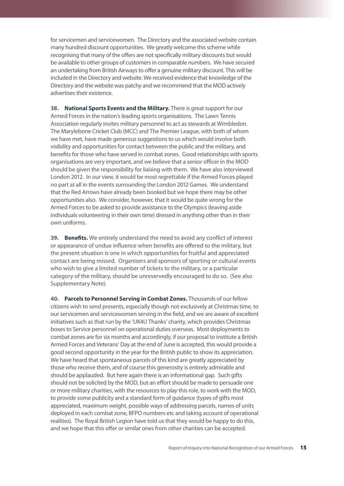for servicemen and servicewomen. The Directory and the associated website contain many hundred discount opportunities. We greatly welcome this scheme while recognising that many of the offers are not specifically military discounts but would be available to other groups of customers in comparable numbers. We have secured an undertaking from British Airways to offer a genuine military discount. This will be included in the Directory and website. We received evidence that knowledge of the Directory and the website was patchy and we recommend that the MOD actively advertises their existence.

**38. National Sports Events and the Military.** There is great support for our Armed Forces in the nation's leading sports organisations. The Lawn Tennis Association regularly invites military personnel to act as stewards at Wimbledon. The Marylebone Cricket Club (MCC) and The Premier League, with both of whom we have met, have made generous suggestions to us which would involve both visibility and opportunities for contact between the public and the military, and benefits for those who have served in combat zones. Good relationships with sports organisations are very important, and we believe that a senior officer in the MOD should be given the responsibility for liaising with them. We have also interviewed London 2012. In our view, it would be most regrettable if the Armed Forces played no part at all in the events surrounding the London 2012 Games. We understand that the Red Arrows have already been booked but we hope there may be other opportunities also. We consider, however, that it would be quite wrong for the Armed Forces to be asked to provide assistance to the Olympics (leaving aside individuals volunteering in their own time) dressed in anything other than in their own uniforms.

**39. Benefits.** We entirely understand the need to avoid any conflict of interest or appearance of undue influence when benefits are offered to the military, but the present situation is one in which opportunities for fruitful and appreciated contact are being missed. Organisers and sponsors of sporting or cultural events who wish to give a limited number of tickets to the military, or a particular category of the military, should be unreservedly encouraged to do so. (See also Supplementary Note).

**40. Parcels to Personnel Serving in Combat Zones.** Thousands of our fellow citizens wish to send presents, especially though not exclusively at Christmas time, to our servicemen and servicewomen serving in the field, and we are aware of excellent initiatives such as that run by the 'UK4U Thanks' charity, which provides Christmas boxes to Service personnel on operational duties overseas. Most deployments to combat zones are for six months and accordingly, if our proposal to institute a British Armed Forces and Veterans' Day at the end of June is accepted, this would provide a good second opportunity in the year for the British public to show its appreciation. We have heard that spontaneous parcels of this kind are greatly appreciated by those who receive them, and of course this generosity is entirely admirable and should be applauded. But here again there is an informational gap. Such gifts should not be solicited by the MOD, but an effort should be made to persuade one or more military charities, with the resources to play this role, to work with the MOD, to provide some publicity and a standard form of guidance (types of gifts most appreciated, maximum weight, possible ways of addressing parcels, names of units deployed in each combat zone, BFPO numbers etc and taking account of operational realities). The Royal British Legion have told us that they would be happy to do this, and we hope that this offer or similar ones from other charities can be accepted.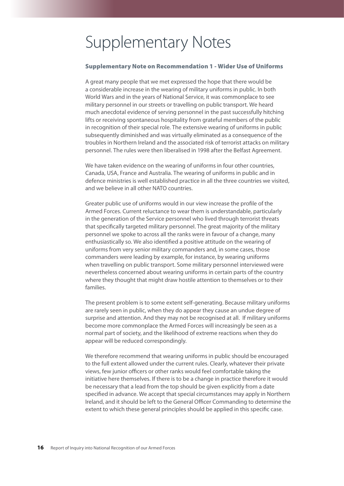## Supplementary Notes

### Supplementary Note on Recommendation 1 - Wider Use of Uniforms

A great many people that we met expressed the hope that there would be a considerable increase in the wearing of military uniforms in public. In both World Wars and in the years of National Service, it was commonplace to see military personnel in our streets or travelling on public transport. We heard much anecdotal evidence of serving personnel in the past successfully hitching lifts or receiving spontaneous hospitality from grateful members of the public in recognition of their special role. The extensive wearing of uniforms in public subsequently diminished and was virtually eliminated as a consequence of the troubles in Northern Ireland and the associated risk of terrorist attacks on military personnel. The rules were then liberalised in 1998 after the Belfast Agreement.

We have taken evidence on the wearing of uniforms in four other countries, Canada, USA, France and Australia. The wearing of uniforms in public and in defence ministries is well established practice in all the three countries we visited, and we believe in all other NATO countries.

Greater public use of uniforms would in our view increase the profile of the Armed Forces. Current reluctance to wear them is understandable, particularly in the generation of the Service personnel who lived through terrorist threats that specifically targeted military personnel. The great majority of the military personnel we spoke to across all the ranks were in favour of a change, many enthusiastically so. We also identified a positive attitude on the wearing of uniforms from very senior military commanders and, in some cases, those commanders were leading by example, for instance, by wearing uniforms when travelling on public transport. Some military personnel interviewed were nevertheless concerned about wearing uniforms in certain parts of the country where they thought that might draw hostile attention to themselves or to their families.

The present problem is to some extent self-generating. Because military uniforms are rarely seen in public, when they do appear they cause an undue degree of surprise and attention. And they may not be recognised at all. If military uniforms become more commonplace the Armed Forces will increasingly be seen as a normal part of society, and the likelihood of extreme reactions when they do appear will be reduced correspondingly.

We therefore recommend that wearing uniforms in public should be encouraged to the full extent allowed under the current rules. Clearly, whatever their private views, few junior officers or other ranks would feel comfortable taking the initiative here themselves. If there is to be a change in practice therefore it would be necessary that a lead from the top should be given explicitly from a date specified in advance. We accept that special circumstances may apply in Northern Ireland, and it should be left to the General Officer Commanding to determine the extent to which these general principles should be applied in this specific case.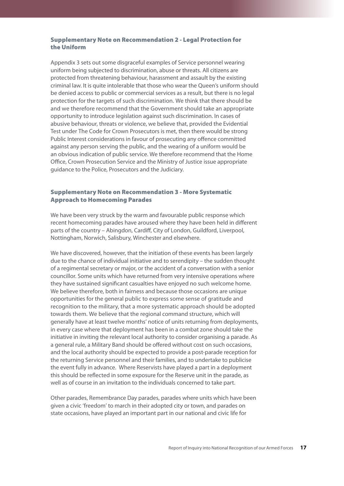### Supplementary Note on Recommendation 2 - Legal Protection for the Uniform

Appendix 3 sets out some disgraceful examples of Service personnel wearing uniform being subjected to discrimination, abuse or threats. All citizens are protected from threatening behaviour, harassment and assault by the existing criminal law. It is quite intolerable that those who wear the Queen's uniform should be denied access to public or commercial services as a result, but there is no legal protection for the targets of such discrimination. We think that there should be and we therefore recommend that the Government should take an appropriate opportunity to introduce legislation against such discrimination. In cases of abusive behaviour, threats or violence, we believe that, provided the Evidential Test under The Code for Crown Prosecutors is met, then there would be strong Public Interest considerations in favour of prosecuting any offence committed against any person serving the public, and the wearing of a uniform would be an obvious indication of public service. We therefore recommend that the Home Office, Crown Prosecution Service and the Ministry of Justice issue appropriate guidance to the Police, Prosecutors and the Judiciary.

### Supplementary Note on Recommendation 3 - More Systematic Approach to Homecoming Parades

We have been very struck by the warm and favourable public response which recent homecoming parades have aroused where they have been held in different parts of the country – Abingdon, Cardiff, City of London, Guildford, Liverpool, Nottingham, Norwich, Salisbury, Winchester and elsewhere.

We have discovered, however, that the initiation of these events has been largely due to the chance of individual initiative and to serendipity – the sudden thought of a regimental secretary or major, or the accident of a conversation with a senior councillor. Some units which have returned from very intensive operations where they have sustained significant casualties have enjoyed no such welcome home. We believe therefore, both in fairness and because those occasions are unique opportunities for the general public to express some sense of gratitude and recognition to the military, that a more systematic approach should be adopted towards them. We believe that the regional command structure, which will generally have at least twelve months' notice of units returning from deployments, in every case where that deployment has been in a combat zone should take the initiative in inviting the relevant local authority to consider organising a parade. As a general rule, a Military Band should be offered without cost on such occasions, and the local authority should be expected to provide a post-parade reception for the returning Service personnel and their families, and to undertake to publicise the event fully in advance. Where Reservists have played a part in a deployment this should be reflected in some exposure for the Reserve unit in the parade, as well as of course in an invitation to the individuals concerned to take part.

Other parades, Remembrance Day parades, parades where units which have been given a civic 'freedom' to march in their adopted city or town, and parades on state occasions, have played an important part in our national and civic life for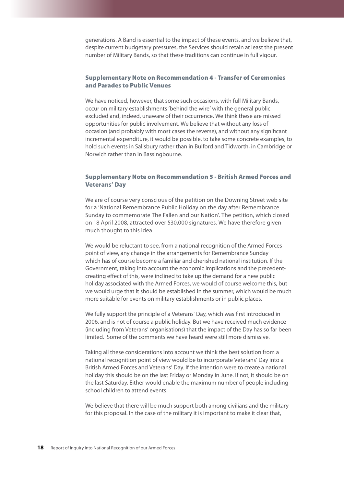generations. A Band is essential to the impact of these events, and we believe that, despite current budgetary pressures, the Services should retain at least the present number of Military Bands, so that these traditions can continue in full vigour.

### Supplementary Note on Recommendation 4 - Transfer of Ceremonies and Parades to Public Venues

We have noticed, however, that some such occasions, with full Military Bands, occur on military establishments 'behind the wire' with the general public excluded and, indeed, unaware of their occurrence. We think these are missed opportunities for public involvement. We believe that without any loss of occasion (and probably with most cases the reverse), and without any significant incremental expenditure, it would be possible, to take some concrete examples, to hold such events in Salisbury rather than in Bulford and Tidworth, in Cambridge or Norwich rather than in Bassingbourne.

### Supplementary Note on Recommendation 5 - British Armed Forces and Veterans' Day

We are of course very conscious of the petition on the Downing Street web site for a 'National Remembrance Public Holiday on the day after Remembrance Sunday to commemorate The Fallen and our Nation'. The petition, which closed on 18 April 2008, attracted over 530,000 signatures. We have therefore given much thought to this idea.

We would be reluctant to see, from a national recognition of the Armed Forces point of view, any change in the arrangements for Remembrance Sunday which has of course become a familiar and cherished national institution. If the Government, taking into account the economic implications and the precedentcreating effect of this, were inclined to take up the demand for a new public holiday associated with the Armed Forces, we would of course welcome this, but we would urge that it should be established in the summer, which would be much more suitable for events on military establishments or in public places.

We fully support the principle of a Veterans' Day, which was first introduced in 2006, and is not of course a public holiday. But we have received much evidence (including from Veterans' organisations) that the impact of the Day has so far been limited. Some of the comments we have heard were still more dismissive.

Taking all these considerations into account we think the best solution from a national recognition point of view would be to incorporate Veterans' Day into a British Armed Forces and Veterans' Day. If the intention were to create a national holiday this should be on the last Friday or Monday in June. If not, it should be on the last Saturday. Either would enable the maximum number of people including school children to attend events.

We believe that there will be much support both among civilians and the military for this proposal. In the case of the military it is important to make it clear that,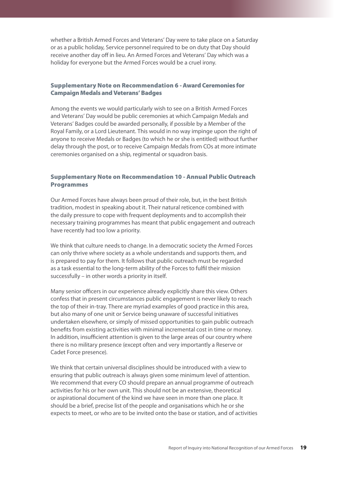whether a British Armed Forces and Veterans' Day were to take place on a Saturday or as a public holiday, Service personnel required to be on duty that Day should receive another day off in lieu. An Armed Forces and Veterans' Day which was a holiday for everyone but the Armed Forces would be a cruel irony.

### Supplementary Note on Recommendation 6 - Award Ceremonies for Campaign Medals and Veterans' Badges

Among the events we would particularly wish to see on a British Armed Forces and Veterans' Day would be public ceremonies at which Campaign Medals and Veterans' Badges could be awarded personally, if possible by a Member of the Royal Family, or a Lord Lieutenant. This would in no way impinge upon the right of anyone to receive Medals or Badges (to which he or she is entitled) without further delay through the post, or to receive Campaign Medals from COs at more intimate ceremonies organised on a ship, regimental or squadron basis.

### Supplementary Note on Recommendation 10 - Annual Public Outreach Programmes

Our Armed Forces have always been proud of their role, but, in the best British tradition, modest in speaking about it. Their natural reticence combined with the daily pressure to cope with frequent deployments and to accomplish their necessary training programmes has meant that public engagement and outreach have recently had too low a priority.

We think that culture needs to change. In a democratic society the Armed Forces can only thrive where society as a whole understands and supports them, and is prepared to pay for them. It follows that public outreach must be regarded as a task essential to the long-term ability of the Forces to fulfil their mission successfully – in other words a priority in itself.

Many senior officers in our experience already explicitly share this view. Others confess that in present circumstances public engagement is never likely to reach the top of their in-tray. There are myriad examples of good practice in this area, but also many of one unit or Service being unaware of successful initiatives undertaken elsewhere, or simply of missed opportunities to gain public outreach benefits from existing activities with minimal incremental cost in time or money. In addition, insufficient attention is given to the large areas of our country where there is no military presence (except often and very importantly a Reserve or Cadet Force presence).

We think that certain universal disciplines should be introduced with a view to ensuring that public outreach is always given some minimum level of attention. We recommend that every CO should prepare an annual programme of outreach activities for his or her own unit. This should not be an extensive, theoretical or aspirational document of the kind we have seen in more than one place. It should be a brief, precise list of the people and organisations which he or she expects to meet, or who are to be invited onto the base or station, and of activities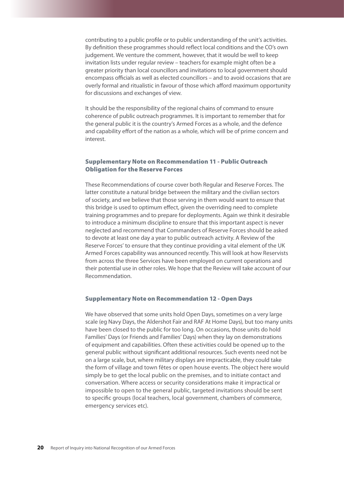contributing to a public profile or to public understanding of the unit's activities. By definition these programmes should reflect local conditions and the CO's own judgement. We venture the comment, however, that it would be well to keep invitation lists under regular review – teachers for example might often be a greater priority than local councillors and invitations to local government should encompass officials as well as elected councillors – and to avoid occasions that are overly formal and ritualistic in favour of those which afford maximum opportunity for discussions and exchanges of view.

It should be the responsibility of the regional chains of command to ensure coherence of public outreach programmes. It is important to remember that for the general public it is the country's Armed Forces as a whole, and the defence and capability effort of the nation as a whole, which will be of prime concern and interest.

### Supplementary Note on Recommendation 11 - Public Outreach Obligation for the Reserve Forces

These Recommendations of course cover both Regular and Reserve Forces. The latter constitute a natural bridge between the military and the civilian sectors of society, and we believe that those serving in them would want to ensure that this bridge is used to optimum effect, given the overriding need to complete training programmes and to prepare for deployments. Again we think it desirable to introduce a minimum discipline to ensure that this important aspect is never neglected and recommend that Commanders of Reserve Forces should be asked to devote at least one day a year to public outreach activity. A Review of the Reserve Forces' to ensure that they continue providing a vital element of the UK Armed Forces capability was announced recently. This will look at how Reservists from across the three Services have been employed on current operations and their potential use in other roles. We hope that the Review will take account of our Recommendation.

### Supplementary Note on Recommendation 12 - Open Days

We have observed that some units hold Open Days, sometimes on a very large scale (eg Navy Days, the Aldershot Fair and RAF At Home Days), but too many units have been closed to the public for too long. On occasions, those units do hold Families' Days (or Friends and Families' Days) when they lay on demonstrations of equipment and capabilities. Often these activities could be opened up to the general public without significant additional resources. Such events need not be on a large scale, but, where military displays are impracticable, they could take the form of village and town fêtes or open house events. The object here would simply be to get the local public on the premises, and to initiate contact and conversation. Where access or security considerations make it impractical or impossible to open to the general public, targeted invitations should be sent to specific groups (local teachers, local government, chambers of commerce, emergency services etc).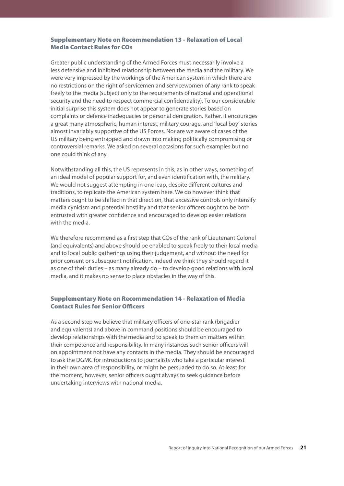### Supplementary Note on Recommendation 13 - Relaxation of Local Media Contact Rules for COs

Greater public understanding of the Armed Forces must necessarily involve a less defensive and inhibited relationship between the media and the military. We were very impressed by the workings of the American system in which there are no restrictions on the right of servicemen and servicewomen of any rank to speak freely to the media (subject only to the requirements of national and operational security and the need to respect commercial confidentiality). To our considerable initial surprise this system does not appear to generate stories based on complaints or defence inadequacies or personal denigration. Rather, it encourages a great many atmospheric, human interest, military courage, and 'local boy' stories almost invariably supportive of the US Forces. Nor are we aware of cases of the US military being entrapped and drawn into making politically compromising or controversial remarks. We asked on several occasions for such examples but no one could think of any.

Notwithstanding all this, the US represents in this, as in other ways, something of an ideal model of popular support for, and even identification with, the military. We would not suggest attempting in one leap, despite different cultures and traditions, to replicate the American system here. We do however think that matters ought to be shifted in that direction, that excessive controls only intensify media cynicism and potential hostility and that senior officers ought to be both entrusted with greater confidence and encouraged to develop easier relations with the media.

We therefore recommend as a first step that COs of the rank of Lieutenant Colonel (and equivalents) and above should be enabled to speak freely to their local media and to local public gatherings using their judgement, and without the need for prior consent or subsequent notification. Indeed we think they should regard it as one of their duties – as many already do – to develop good relations with local media, and it makes no sense to place obstacles in the way of this.

### Supplementary Note on Recommendation 14 - Relaxation of Media Contact Rules for Senior Officers

As a second step we believe that military officers of one-star rank (brigadier and equivalents) and above in command positions should be encouraged to develop relationships with the media and to speak to them on matters within their competence and responsibility. In many instances such senior officers will on appointment not have any contacts in the media. They should be encouraged to ask the DGMC for introductions to journalists who take a particular interest in their own area of responsibility, or might be persuaded to do so. At least for the moment, however, senior officers ought always to seek guidance before undertaking interviews with national media.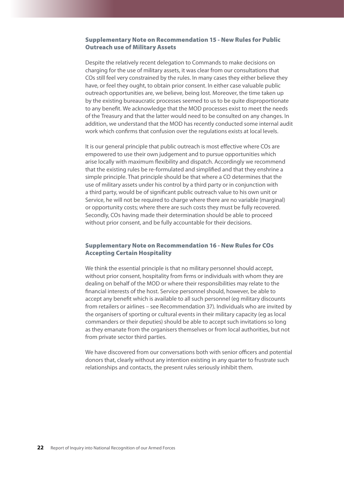### Supplementary Note on Recommendation 15 - New Rules for Public Outreach use of Military Assets

Despite the relatively recent delegation to Commands to make decisions on charging for the use of military assets, it was clear from our consultations that COs still feel very constrained by the rules. In many cases they either believe they have, or feel they ought, to obtain prior consent. In either case valuable public outreach opportunities are, we believe, being lost. Moreover, the time taken up by the existing bureaucratic processes seemed to us to be quite disproportionate to any benefit. We acknowledge that the MOD processes exist to meet the needs of the Treasury and that the latter would need to be consulted on any changes. In addition, we understand that the MOD has recently conducted some internal audit work which confirms that confusion over the regulations exists at local levels.

It is our general principle that public outreach is most effective where COs are empowered to use their own judgement and to pursue opportunities which arise locally with maximum flexibility and dispatch. Accordingly we recommend that the existing rules be re-formulated and simplified and that they enshrine a simple principle. That principle should be that where a CO determines that the use of military assets under his control by a third party or in conjunction with a third party, would be of significant public outreach value to his own unit or Service, he will not be required to charge where there are no variable (marginal) or opportunity costs; where there are such costs they must be fully recovered. Secondly, COs having made their determination should be able to proceed without prior consent, and be fully accountable for their decisions.

### Supplementary Note on Recommendation 16 - New Rules for COs Accepting Certain Hospitality

We think the essential principle is that no military personnel should accept, without prior consent, hospitality from firms or individuals with whom they are dealing on behalf of the MOD or where their responsibilities may relate to the financial interests of the host. Service personnel should, however, be able to accept any benefit which is available to all such personnel (eg military discounts from retailers or airlines – see Recommendation 37). Individuals who are invited by the organisers of sporting or cultural events in their military capacity (eg as local commanders or their deputies) should be able to accept such invitations so long as they emanate from the organisers themselves or from local authorities, but not from private sector third parties.

We have discovered from our conversations both with senior officers and potential donors that, clearly without any intention existing in any quarter to frustrate such relationships and contacts, the present rules seriously inhibit them.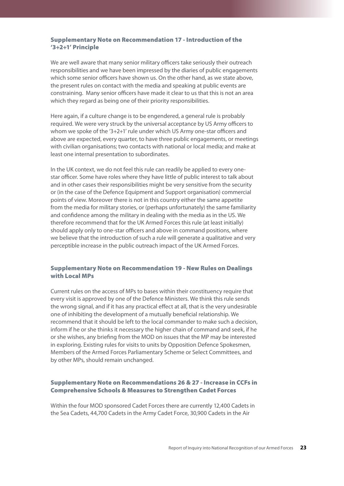### Supplementary Note on Recommendation 17 - Introduction of the '3+2+1' Principle

We are well aware that many senior military officers take seriously their outreach responsibilities and we have been impressed by the diaries of public engagements which some senior officers have shown us. On the other hand, as we state above, the present rules on contact with the media and speaking at public events are constraining. Many senior officers have made it clear to us that this is not an area which they regard as being one of their priority responsibilities.

Here again, if a culture change is to be engendered, a general rule is probably required. We were very struck by the universal acceptance by US Army officers to whom we spoke of the '3+2+1' rule under which US Army one-star officers and above are expected, every quarter, to have three public engagements, or meetings with civilian organisations; two contacts with national or local media; and make at least one internal presentation to subordinates.

In the UK context, we do not feel this rule can readily be applied to every onestar officer. Some have roles where they have little of public interest to talk about and in other cases their responsibilities might be very sensitive from the security or (in the case of the Defence Equipment and Support organisation) commercial points of view. Moreover there is not in this country either the same appetite from the media for military stories, or (perhaps unfortunately) the same familiarity and confidence among the military in dealing with the media as in the US. We therefore recommend that for the UK Armed Forces this rule (at least initially) should apply only to one-star officers and above in command positions, where we believe that the introduction of such a rule will generate a qualitative and very perceptible increase in the public outreach impact of the UK Armed Forces.

### Supplementary Note on Recommendation 19 - New Rules on Dealings with Local MPs

Current rules on the access of MPs to bases within their constituency require that every visit is approved by one of the Defence Ministers. We think this rule sends the wrong signal, and if it has any practical effect at all, that is the very undesirable one of inhibiting the development of a mutually beneficial relationship. We recommend that it should be left to the local commander to make such a decision, inform if he or she thinks it necessary the higher chain of command and seek, if he or she wishes, any briefing from the MOD on issues that the MP may be interested in exploring. Existing rules for visits to units by Opposition Defence Spokesmen, Members of the Armed Forces Parliamentary Scheme or Select Committees, and by other MPs, should remain unchanged.

### Supplementary Note on Recommendations 26 & 27 - Increase in Ccfs in Comprehensive Schools & Measures to Strengthen Cadet Forces

Within the four MOD sponsored Cadet Forces there are currently 12,400 Cadets in the Sea Cadets, 44,700 Cadets in the Army Cadet Force, 30,900 Cadets in the Air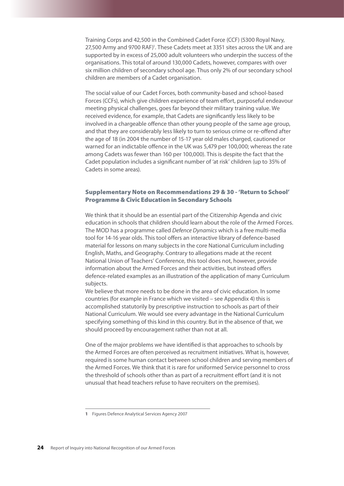Training Corps and 42,500 in the Combined Cadet Force (CCF) (5300 Royal Navy, 27,500 Army and 9700 RAF)<sup>1</sup>. These Cadets meet at 3351 sites across the UK and are supported by in excess of 25,000 adult volunteers who underpin the success of the organisations. This total of around 130,000 Cadets, however, compares with over six million children of secondary school age. Thus only 2% of our secondary school children are members of a Cadet organisation.

The social value of our Cadet Forces, both community-based and school-based Forces (CCFs), which give children experience of team effort, purposeful endeavour meeting physical challenges, goes far beyond their military training value. We received evidence, for example, that Cadets are significantly less likely to be involved in a chargeable offence than other young people of the same age group, and that they are considerably less likely to turn to serious crime or re-offend after the age of 18 (in 2004 the number of 15-17 year old males charged, cautioned or warned for an indictable offence in the UK was 5,479 per 100,000; whereas the rate among Cadets was fewer than 160 per 100,000). This is despite the fact that the Cadet population includes a significant number of 'at risk' children (up to 35% of Cadets in some areas).

### Supplementary Note on Recommendations 29 & 30 - 'Return to School' Programme & Civic Education in Secondary Schools

We think that it should be an essential part of the Citizenship Agenda and civic education in schools that children should learn about the role of the Armed Forces. The MOD has a programme called *Defence Dynamics* which is a free multi-media tool for 14-16 year olds. This tool offers an interactive library of defence-based material for lessons on many subjects in the core National Curriculum including English, Maths, and Geography. Contrary to allegations made at the recent National Union of Teachers' Conference, this tool does not, however, provide information about the Armed Forces and their activities, but instead offers defence-related examples as an illustration of the application of many Curriculum subjects.

We believe that more needs to be done in the area of civic education. In some countries (for example in France which we visited – see Appendix 4) this is accomplished statutorily by prescriptive instruction to schools as part of their National Curriculum. We would see every advantage in the National Curriculum specifying something of this kind in this country. But in the absence of that, we should proceed by encouragement rather than not at all.

One of the major problems we have identified is that approaches to schools by the Armed Forces are often perceived as recruitment initiatives. What is, however, required is some human contact between school children and serving members of the Armed Forces. We think that it is rare for uniformed Service personnel to cross the threshold of schools other than as part of a recruitment effort (and it is not unusual that head teachers refuse to have recruiters on the premises).

**<sup>1</sup>** Figures Defence Analytical Services Agency 2007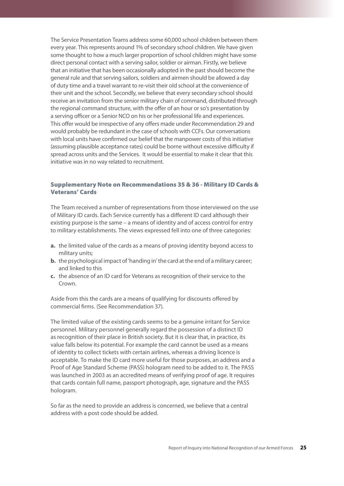The Service Presentation Teams address some 60,000 school children between them every year. This represents around 1% of secondary school children. We have given some thought to how a much larger proportion of school children might have some direct personal contact with a serving sailor, soldier or airman. Firstly, we believe that an initiative that has been occasionally adopted in the past should become the general rule and that serving sailors, soldiers and airmen should be allowed a day of duty time and a travel warrant to re-visit their old school at the convenience of their unit and the school. Secondly, we believe that every secondary school should receive an invitation from the senior military chain of command, distributed through the regional command structure, with the offer of an hour or so's presentation by a serving officer or a Senior NCO on his or her professional life and experiences. This offer would be irrespective of any offers made under Recommendation 29 and would probably be redundant in the case of schools with CCFs. Our conversations with local units have confirmed our belief that the manpower costs of this initiative (assuming plausible acceptance rates) could be borne without excessive difficulty if spread across units and the Services. It would be essential to make it clear that this initiative was in no way related to recruitment.

### Supplementary Note on Recommendations 35 & 36 - Military ID Cards & Veterans' Cards

The Team received a number of representations from those interviewed on the use of Military ID cards. Each Service currently has a different ID card although their existing purpose is the same – a means of identity and of access control for entry to military establishments. The views expressed fell into one of three categories:

- **a.** the limited value of the cards as a means of proving identity beyond access to military units;
- **b.** the psychological impact of 'handing in' the card at the end of a military career; and linked to this
- **c.** the absence of an ID card for Veterans as recognition of their service to the Crown.

Aside from this the cards are a means of qualifying for discounts offered by commercial firms. (See Recommendation 37).

The limited value of the existing cards seems to be a genuine irritant for Service personnel. Military personnel generally regard the possession of a distinct ID as recognition of their place in British society. But it is clear that, in practice, its value falls below its potential. For example the card cannot be used as a means of identity to collect tickets with certain airlines, whereas a driving licence is acceptable. To make the ID card more useful for those purposes, an address and a Proof of Age Standard Scheme (PASS) hologram need to be added to it. The PASS was launched in 2003 as an accredited means of verifying proof of age. It requires that cards contain full name, passport photograph, age, signature and the PASS hologram.

So far as the need to provide an address is concerned, we believe that a central address with a post code should be added.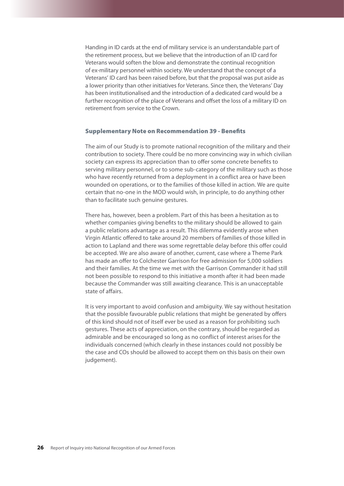Handing in ID cards at the end of military service is an understandable part of the retirement process, but we believe that the introduction of an ID card for Veterans would soften the blow and demonstrate the continual recognition of ex-military personnel within society. We understand that the concept of a Veterans' ID card has been raised before, but that the proposal was put aside as a lower priority than other initiatives for Veterans. Since then, the Veterans' Day has been institutionalised and the introduction of a dedicated card would be a further recognition of the place of Veterans and offset the loss of a military ID on retirement from service to the Crown.

### Supplementary Note on Recommendation 39 - Benefits

The aim of our Study is to promote national recognition of the military and their contribution to society. There could be no more convincing way in which civilian society can express its appreciation than to offer some concrete benefits to serving military personnel, or to some sub-category of the military such as those who have recently returned from a deployment in a conflict area or have been wounded on operations, or to the families of those killed in action. We are quite certain that no-one in the MOD would wish, in principle, to do anything other than to facilitate such genuine gestures.

There has, however, been a problem. Part of this has been a hesitation as to whether companies giving benefits to the military should be allowed to gain a public relations advantage as a result. This dilemma evidently arose when Virgin Atlantic offered to take around 20 members of families of those killed in action to Lapland and there was some regrettable delay before this offer could be accepted. We are also aware of another, current, case where a Theme Park has made an offer to Colchester Garrison for free admission for 5,000 soldiers and their families. At the time we met with the Garrison Commander it had still not been possible to respond to this initiative a month after it had been made because the Commander was still awaiting clearance. This is an unacceptable state of affairs.

It is very important to avoid confusion and ambiguity. We say without hesitation that the possible favourable public relations that might be generated by offers of this kind should not of itself ever be used as a reason for prohibiting such gestures. These acts of appreciation, on the contrary, should be regarded as admirable and be encouraged so long as no conflict of interest arises for the individuals concerned (which clearly in these instances could not possibly be the case and COs should be allowed to accept them on this basis on their own judgement).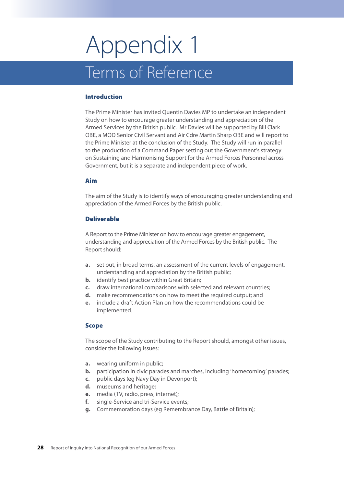## Appendix 1 Terms of Reference

### Introduction

The Prime Minister has invited Quentin Davies MP to undertake an independent Study on how to encourage greater understanding and appreciation of the Armed Services by the British public. Mr Davies will be supported by Bill Clark OBE, a MOD Senior Civil Servant and Air Cdre Martin Sharp OBE and will report to the Prime Minister at the conclusion of the Study. The Study will run in parallel to the production of a Command Paper setting out the Government's strategy on Sustaining and Harmonising Support for the Armed Forces Personnel across Government, but it is a separate and independent piece of work.

### Aim

The aim of the Study is to identify ways of encouraging greater understanding and appreciation of the Armed Forces by the British public.

### Deliverable

A Report to the Prime Minister on how to encourage greater engagement, understanding and appreciation of the Armed Forces by the British public. The Report should:

- **a.** set out, in broad terms, an assessment of the current levels of engagement, understanding and appreciation by the British public;
- **b.** identify best practice within Great Britain;
- **c.** draw international comparisons with selected and relevant countries;
- **d.** make recommendations on how to meet the required output; and
- **e.** include a draft Action Plan on how the recommendations could be implemented.

### Scope

The scope of the Study contributing to the Report should, amongst other issues, consider the following issues:

- **a.** wearing uniform in public;
- **b.** participation in civic parades and marches, including 'homecoming' parades;
- **c.** public days (eg Navy Day in Devonport);
- **d.** museums and heritage;
- **e.** media (TV, radio, press, internet);
- **f.** single-Service and tri-Service events;
- **g.** Commemoration days (eg Remembrance Day, Battle of Britain);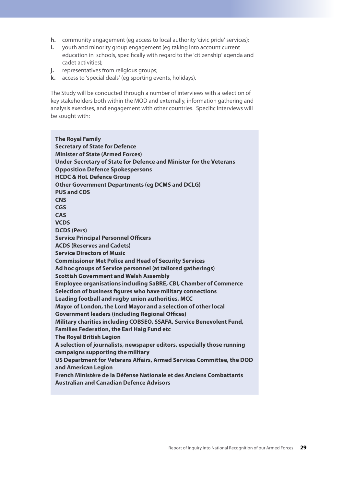- **h.** community engagement (eg access to local authority 'civic pride' services);
- **i.** youth and minority group engagement (eg taking into account current education in schools, specifically with regard to the 'citizenship' agenda and cadet activities);
- **j.** representatives from religious groups;
- **k.** access to 'special deals' (eg sporting events, holidays).

The Study will be conducted through a number of interviews with a selection of key stakeholders both within the MOD and externally, information gathering and analysis exercises, and engagement with other countries. Specific interviews will be sought with:

**The Royal Family Secretary of State for Defence Minister of State (Armed Forces) Under-Secretary of State for Defence and Minister for the Veterans Opposition Defence Spokespersons HCDC & HoL Defence Group Other Government Departments (eg DCMS and DCLG) PUS and CDS CNS CGS CAS VCDS DCDS (Pers) Service Principal Personnel Officers ACDS (Reserves and Cadets) Service Directors of Music Commissioner Met Police and Head of Security Services Ad hoc groups of Service personnel (at tailored gatherings) Scottish Government and Welsh Assembly Employee organisations including SaBRE, CBI, Chamber of Commerce Selection of business figures who have military connections Leading football and rugby union authorities, MCC Mayor of London, the Lord Mayor and a selection of other local Government leaders (including Regional Offices) Military charities including COBSEO, SSAFA, Service Benevolent Fund, Families Federation, the Earl Haig Fund etc The Royal British Legion A selection of journalists, newspaper editors, especially those running campaigns supporting the military US Department for Veterans Affairs, Armed Services Committee, the DOD and American Legion French Ministère de la Défense Nationale et des Anciens Combattants Australian and Canadian Defence Advisors**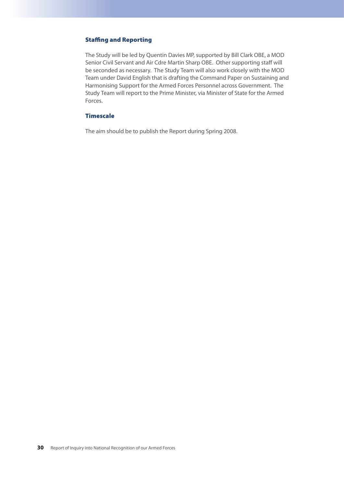### Staffing and Reporting

The Study will be led by Quentin Davies MP, supported by Bill Clark OBE, a MOD Senior Civil Servant and Air Cdre Martin Sharp OBE. Other supporting staff will be seconded as necessary. The Study Team will also work closely with the MOD Team under David English that is drafting the Command Paper on Sustaining and Harmonising Support for the Armed Forces Personnel across Government. The Study Team will report to the Prime Minister, via Minister of State for the Armed Forces.

### **Timescale**

The aim should be to publish the Report during Spring 2008.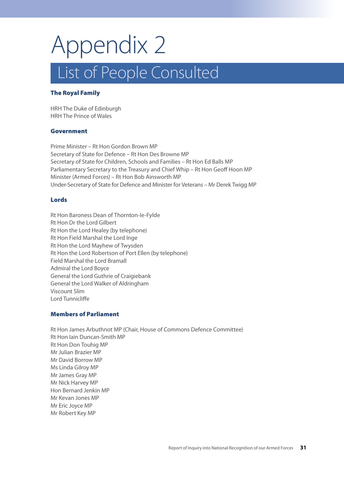## Appendix 2 List of People Consulted

### The Royal Family

HRH The Duke of Edinburgh HRH The Prince of Wales

### Government

Prime Minister – Rt Hon Gordon Brown MP Secretary of State for Defence – Rt Hon Des Browne MP Secretary of State for Children, Schools and Families – Rt Hon Ed Balls MP Parliamentary Secretary to the Treasury and Chief Whip – Rt Hon Geoff Hoon MP Minister (Armed Forces) – Rt Hon Bob Ainsworth MP Under-Secretary of State for Defence and Minister for Veterans – Mr Derek Twigg MP

### Lords

Rt Hon Baroness Dean of Thornton-le-Fylde Rt Hon Dr the Lord Gilbert Rt Hon the Lord Healey (by telephone) Rt Hon Field Marshal the Lord Inge Rt Hon the Lord Mayhew of Twysden Rt Hon the Lord Robertson of Port Ellen (by telephone) Field Marshal the Lord Bramall Admiral the Lord Boyce General the Lord Guthrie of Craigiebank General the Lord Walker of Aldringham Viscount Slim Lord Tunnicliffe

### Members of Parliament

Rt Hon James Arbuthnot MP (Chair, House of Commons Defence Committee) Rt Hon Iain Duncan-Smith MP Rt Hon Don Touhig MP Mr Julian Brazier MP Mr David Borrow MP Ms Linda Gilroy MP Mr James Gray MP Mr Nick Harvey MP Hon Bernard Jenkin MP Mr Kevan Jones MP Mr Eric Joyce MP Mr Robert Key MP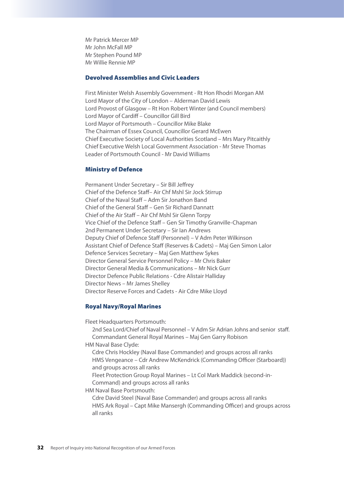Mr Patrick Mercer MP Mr John McFall MP Mr Stephen Pound MP Mr Willie Rennie MP

### Devolved Assemblies and Civic Leaders

First Minister Welsh Assembly Government - Rt Hon Rhodri Morgan AM Lord Mayor of the City of London – Alderman David Lewis Lord Provost of Glasgow – Rt Hon Robert Winter (and Council members) Lord Mayor of Cardiff – Councillor Gill Bird Lord Mayor of Portsmouth – Councillor Mike Blake The Chairman of Essex Council, Councillor Gerard McEwen Chief Executive Society of Local Authorities Scotland – Mrs Mary Pitcaithly Chief Executive Welsh Local Government Association - Mr Steve Thomas Leader of Portsmouth Council - Mr David Williams

### Ministry of Defence

Permanent Under Secretary – Sir Bill Jeffrey Chief of the Defence Staff– Air Chf Mshl Sir Jock Stirrup Chief of the Naval Staff – Adm Sir Jonathon Band Chief of the General Staff – Gen Sir Richard Dannatt Chief of the Air Staff – Air Chf Mshl Sir Glenn Torpy Vice Chief of the Defence Staff – Gen Sir Timothy Granville-Chapman 2nd Permanent Under Secretary – Sir Ian Andrews Deputy Chief of Defence Staff (Personnel) – V Adm Peter Wilkinson Assistant Chief of Defence Staff (Reserves & Cadets) – Maj Gen Simon Lalor Defence Services Secretary – Maj Gen Matthew Sykes Director General Service Personnel Policy – Mr Chris Baker Director General Media & Communications – Mr Nick Gurr Director Defence Public Relations - Cdre Alistair Halliday Director News – Mr James Shelley Director Reserve Forces and Cadets - Air Cdre Mike Lloyd

### Royal Navy/Royal Marines

Fleet Headquarters Portsmouth:

2nd Sea Lord/Chief of Naval Personnel – V Adm Sir Adrian Johns and senior staff. Commandant General Royal Marines – Maj Gen Garry Robison

HM Naval Base Clyde:

Cdre Chris Hockley (Naval Base Commander) and groups across all ranks HMS Vengeance – Cdr Andrew McKendrick (Commanding Officer (Starboard)) and groups across all ranks

Fleet Protection Group Royal Marines – Lt Col Mark Maddick (second-in-Command) and groups across all ranks

HM Naval Base Portsmouth:

Cdre David Steel (Naval Base Commander) and groups across all ranks HMS Ark Royal – Capt Mike Mansergh (Commanding Officer) and groups across all ranks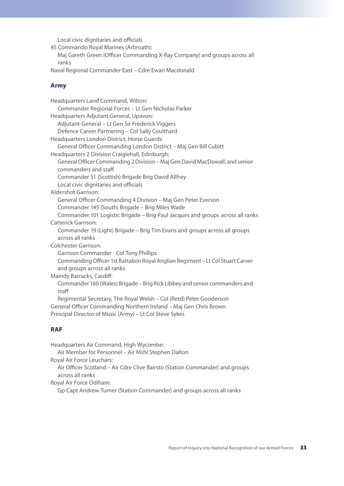Local civic dignitaries and officials

45 Commando Royal Marines (Arbroath):

Maj Gareth Green (Officer Commanding X-Ray Company) and groups across all ranks

Naval Regional Commander East – Cdre Ewan Macdonald

### Army

| Headquarters Land Command, Wilton:                                                                            |
|---------------------------------------------------------------------------------------------------------------|
| Commander Regional Forces - Lt Gen Nicholas Parker                                                            |
| Headquarters Adjutant General, Upavon:                                                                        |
| Adjutant-General - Lt Gen Sir Frederick Viggers                                                               |
| Defence Career Partnering - Col Sally Coulthard                                                               |
| Headquarters London District, Horse Guards:                                                                   |
| General Officer Commanding London District - Maj Gen Bill Cubitt                                              |
| Headquarters 2 Division Craigiehall, Edinburgh:                                                               |
| General Officer Commanding 2 Division - Maj Gen David MacDowall, and senior<br>commanders and staff           |
| Commander 51 (Scottish) Brigade Brig David Allfrey                                                            |
| Local civic dignitaries and officials                                                                         |
| <b>Aldershot Garrison:</b>                                                                                    |
| General Officer Commanding 4 Division - Maj Gen Peter Everson                                                 |
| Commander 145 (South) Brigade - Brig Miles Wade                                                               |
| Commander 101 Logistic Brigade - Brig Paul Jacques and groups across all ranks                                |
| <b>Catterick Garrison:</b>                                                                                    |
| Commander 19 (Light) Brigade - Brig Tim Evans and groups across all groups<br>across all ranks                |
| Colchester Garrison:                                                                                          |
| Garrison Commander - Col Tony Phillips                                                                        |
| Commanding Officer 1st Battalion Royal Anglian Regiment - Lt Col Stuart Carver<br>and groups across all ranks |
| Maindy Barracks, Cardiff:                                                                                     |
| Commander 160 (Wales) Brigade - Brig Rick Libbey and senior commanders and<br>staff                           |
| Regimental Secretary, The Royal Welsh - Col (Retd) Peter Gooderson                                            |
| General Officer Commanding Northern Ireland - Maj Gen Chris Brown                                             |
| Principal Director of Music (Army) - Lt Col Steve Sykes                                                       |

### RAF

Headquarters Air Command, High Wycombe: Air Member for Personnel – Air Mshl Stephen Dalton Royal Air Force Leuchars: Air Officer Scotland – Air Cdre Clive Bairsto (Station Commander) and groups across all ranks Royal Air Force Odiham: Gp Capt Andrew Turner (Station Commander) and groups across all ranks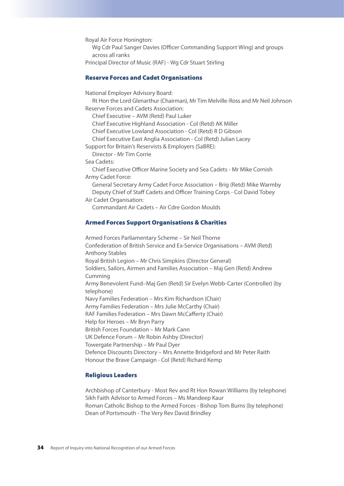Royal Air Force Honington: Wg Cdr Paul Sanger Davies (Officer Commanding Support Wing) and groups across all ranks Principal Director of Music (RAF) - Wg Cdr Stuart Stirling

### Reserve Forces and Cadet Organisations

National Employer Advisory Board:

Rt Hon the Lord Glenarthur (Chairman), Mr Tim Melville-Ross and Mr Neil Johnson Reserve Forces and Cadets Association:

Chief Executive – AVM (Retd) Paul Luker

Chief Executive Highland Association - Col (Retd) AK Miller

Chief Executive Lowland Association - Col (Retd) R D Gibson

Chief Executive East Anglia Association - Col (Retd) Julian Lacey

Support for Britain's Reservists & Employers (SaBRE):

Director - Mr Tim Corrie

### Sea Cadets:

Chief Executive Officer Marine Society and Sea Cadets - Mr Mike Cornish Army Cadet Force:

General Secretary Army Cadet Force Association – Brig (Retd) Mike Warmby Deputy Chief of Staff Cadets and Officer Training Corps - Col David Tobey

Air Cadet Organisation: Commandant Air Cadets – Air Cdre Gordon Moulds

### Armed Forces Support Organisations & Charities

Armed Forces Parliamentary Scheme – Sir Neil Thorne Confederation of British Service and Ex-Service Organisations – AVM (Retd) Anthony Stables Royal British Legion – Mr Chris Simpkins (Director General) Soldiers, Sailors, Airmen and Families Association – Maj Gen (Retd) Andrew Cumming Army Benevolent Fund–Maj Gen (Retd) Sir Evelyn Webb-Carter (Controller) (by telephone) Navy Families Federation – Mrs Kim Richardson (Chair) Army Families Federation – Mrs Julie McCarthy (Chair) RAF Families Federation – Mrs Dawn McCafferty (Chair) Help for Heroes – Mr Bryn Parry British Forces Foundation – Mr Mark Cann UK Defence Forum – Mr Robin Ashby (Director) Towergate Partnership – Mr Paul Dyer Defence Discounts Directory – Mrs Annette Bridgeford and Mr Peter Raith Honour the Brave Campaign - Col (Retd) Richard Kemp

### Religious Leaders

Archbishop of Canterbury - Most Rev and Rt Hon Rowan Williams (by telephone) Sikh Faith Advisor to Armed Forces – Ms Mandeep Kaur Roman Catholic Bishop to the Armed Forces - Bishop Tom Burns (by telephone) Dean of Portsmouth - The Very Rev David Brindley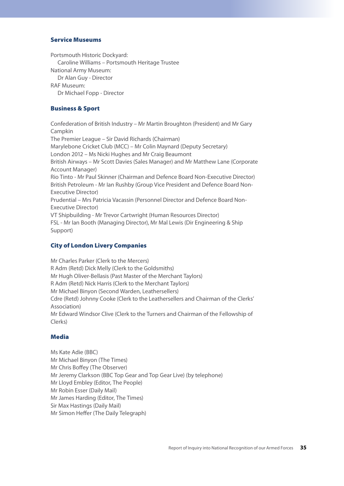### Service Museums

Portsmouth Historic Dockyard:

Caroline Williams – Portsmouth Heritage Trustee

National Army Museum:

Dr Alan Guy - Director

RAF Museum:

Dr Michael Fopp - Director

### Business & Sport

Confederation of British Industry – Mr Martin Broughton (President) and Mr Gary Campkin The Premier League – Sir David Richards (Chairman) Marylebone Cricket Club (MCC) – Mr Colin Maynard (Deputy Secretary) London 2012 – Ms Nicki Hughes and Mr Craig Beaumont British Airways – Mr Scott Davies (Sales Manager) and Mr Matthew Lane (Corporate Account Manager) Rio Tinto - Mr Paul Skinner (Chairman and Defence Board Non-Executive Director) British Petroleum - Mr Ian Rushby (Group Vice President and Defence Board Non-Executive Director) Prudential – Mrs Patricia Vacassin (Personnel Director and Defence Board Non-Executive Director) VT Shipbuilding - Mr Trevor Cartwright (Human Resources Director) FSL - Mr Ian Booth (Managing Director), Mr Mal Lewis (Dir Engineering & Ship Support)

### City of London Livery Companies

Mr Charles Parker (Clerk to the Mercers) R Adm (Retd) Dick Melly (Clerk to the Goldsmiths) Mr Hugh Oliver-Bellasis (Past Master of the Merchant Taylors) R Adm (Retd) Nick Harris (Clerk to the Merchant Taylors) Mr Michael Binyon (Second Warden, Leathersellers) Cdre (Retd) Johnny Cooke (Clerk to the Leathersellers and Chairman of the Clerks' Association) Mr Edward Windsor Clive (Clerk to the Turners and Chairman of the Fellowship of Clerks)

### Media

Ms Kate Adie (BBC) Mr Michael Binyon (The Times) Mr Chris Boffey (The Observer) Mr Jeremy Clarkson (BBC Top Gear and Top Gear Live) (by telephone) Mr Lloyd Embley (Editor, The People) Mr Robin Esser (Daily Mail) Mr James Harding (Editor, The Times) Sir Max Hastings (Daily Mail) Mr Simon Heffer (The Daily Telegraph)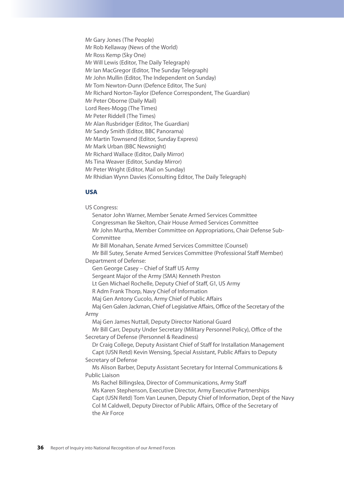Mr Gary Jones (The People) Mr Rob Kellaway (News of the World) Mr Ross Kemp (Sky One) Mr Will Lewis (Editor, The Daily Telegraph) Mr Ian MacGregor (Editor, The Sunday Telegraph) Mr John Mullin (Editor, The Independent on Sunday) Mr Tom Newton-Dunn (Defence Editor, The Sun) Mr Richard Norton-Taylor (Defence Correspondent, The Guardian) Mr Peter Oborne (Daily Mail) Lord Rees-Mogg (The Times) Mr Peter Riddell (The Times) Mr Alan Rusbridger (Editor, The Guardian) Mr Sandy Smith (Editor, BBC Panorama) Mr Martin Townsend (Editor, Sunday Express) Mr Mark Urban (BBC Newsnight) Mr Richard Wallace (Editor, Daily Mirror) Ms Tina Weaver (Editor, Sunday Mirror) Mr Peter Wright (Editor, Mail on Sunday) Mr Rhidian Wynn Davies (Consulting Editor, The Daily Telegraph)

### USA

US Congress: Senator John Warner, Member Senate Armed Services Committee Congressman Ike Skelton, Chair House Armed Services Committee Mr John Murtha, Member Committee on Appropriations, Chair Defense Sub-Committee Mr Bill Monahan, Senate Armed Services Committee (Counsel) Mr Bill Sutey, Senate Armed Services Committee (Professional Staff Member) Department of Defense: Gen George Casey – Chief of Staff US Army Sergeant Major of the Army (SMA) Kenneth Preston Lt Gen Michael Rochelle, Deputy Chief of Staff, G1, US Army R Adm Frank Thorp, Navy Chief of Information Maj Gen Antony Cucolo, Army Chief of Public Affairs Maj Gen Galen Jackman, Chief of Legislative Affairs, Office of the Secretary of the Army Maj Gen James Nuttall, Deputy Director National Guard Mr Bill Carr, Deputy Under Secretary (Military Personnel Policy), Office of the Secretary of Defense (Personnel & Readiness) Dr Craig College, Deputy Assistant Chief of Staff for Installation Management Capt (USN Retd) Kevin Wensing, Special Assistant, Public Affairs to Deputy Secretary of Defense Ms Alison Barber, Deputy Assistant Secretary for Internal Communications & Public Liaison Ms Rachel Billingslea, Director of Communications, Army Staff Ms Karen Stephenson, Executive Director, Army Executive Partnerships Capt (USN Retd) Tom Van Leunen, Deputy Chief of Information, Dept of the Navy Col M Caldwell, Deputy Director of Public Affairs, Office of the Secretary of the Air Force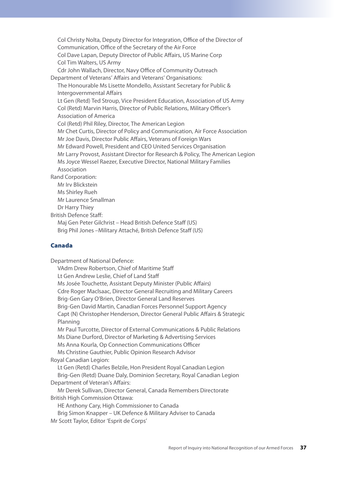Col Christy Nolta, Deputy Director for Integration, Office of the Director of Communication, Office of the Secretary of the Air Force Col Dave Lapan, Deputy Director of Public Affairs, US Marine Corp Col Tim Walters, US Army Cdr John Wallach, Director, Navy Office of Community Outreach Department of Veterans' Affairs and Veterans' Organisations: The Honourable Ms Lisette Mondello, Assistant Secretary for Public & Intergovernmental Affairs Lt Gen (Retd) Ted Stroup, Vice President Education, Association of US Army Col (Retd) Marvin Harris, Director of Public Relations, Military Officer's Association of America Col (Retd) Phil Riley, Director, The American Legion Mr Chet Curtis, Director of Policy and Communication, Air Force Association Mr Joe Davis, Director Public Affairs, Veterans of Foreign Wars Mr Edward Powell, President and CEO United Services Organisation Mr Larry Provost, Assistant Director for Research & Policy, The American Legion Ms Joyce Wessel Raezer, Executive Director, National Military Families Association Rand Corporation: Mr Irv Blickstein Ms Shirley Rueh Mr Laurence Smallman Dr Harry Thiey British Defence Staff: Maj Gen Peter Gilchrist – Head British Defence Staff (US) Brig Phil Jones –Military Attaché, British Defence Staff (US)

### Canada

Department of National Defence: VAdm Drew Robertson, Chief of Maritime Staff Lt Gen Andrew Leslie, Chief of Land Staff Ms Josée Touchette, Assistant Deputy Minister (Public Affairs) Cdre Roger Maclsaac, Director General Recruiting and Military Careers Brig-Gen Gary O'Brien, Director General Land Reserves Brig-Gen David Martin, Canadian Forces Personnel Support Agency Capt (N) Christopher Henderson, Director General Public Affairs & Strategic Planning Mr Paul Turcotte, Director of External Communications & Public Relations Ms Diane Durford, Director of Marketing & Advertising Services Ms Anna Kourla, Op Connection Communications Officer Ms Christine Gauthier, Public Opinion Research Advisor Royal Canadian Legion: Lt Gen (Retd) Charles Belzile, Hon President Royal Canadian Legion Brig-Gen (Retd) Duane Daly, Dominion Secretary, Royal Canadian Legion Department of Veteran's Affairs: Mr Derek Sullivan, Director General, Canada Remembers Directorate British High Commission Ottawa: HE Anthony Cary, High Commissioner to Canada Brig Simon Knapper – UK Defence & Military Adviser to Canada Mr Scott Taylor, Editor 'Esprit de Corps'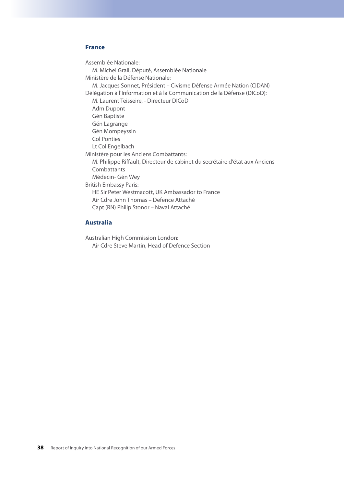### France

Assemblée Nationale: M. Michel Grall, Député, Assemblée Nationale Ministère de la Défense Nationale: M. Jacques Sonnet, Président – Civisme Défense Armée Nation (CIDAN) Délégation à l'Information et à la Communication de la Défense (DICoD): M. Laurent Teisseire, - Directeur DICoD Adm Dupont Gén Baptiste Gén Lagrange Gén Mompeyssin Col Ponties Lt Col Engelbach Ministère pour les Anciens Combattants: M. Philippe Riffault, Directeur de cabinet du secrétaire d'état aux Anciens Combattants Médecin- Gén Wey British Embassy Paris: HE Sir Peter Westmacott, UK Ambassador to France Air Cdre John Thomas – Defence Attaché Capt (RN) Philip Stonor – Naval Attaché

### Australia

Australian High Commission London: Air Cdre Steve Martin, Head of Defence Section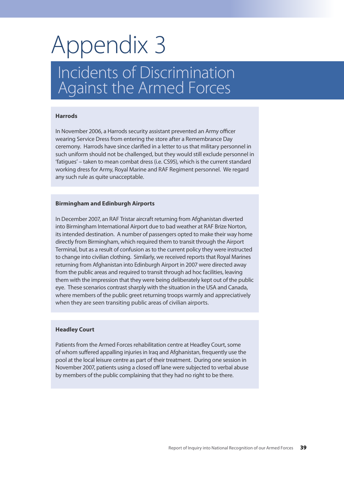## Appendix 3

### Incidents of Discrimination Against the Armed Forces

### **Harrods**

In November 2006, a Harrods security assistant prevented an Army officer wearing Service Dress from entering the store after a Remembrance Day ceremony. Harrods have since clarified in a letter to us that military personnel in such uniform should not be challenged, but they would still exclude personnel in 'fatigues' – taken to mean combat dress (i.e. CS95), which is the current standard working dress for Army, Royal Marine and RAF Regiment personnel. We regard any such rule as quite unacceptable.

### **Birmingham and Edinburgh Airports**

In December 2007, an RAF Tristar aircraft returning from Afghanistan diverted into Birmingham International Airport due to bad weather at RAF Brize Norton, its intended destination. A number of passengers opted to make their way home directly from Birmingham, which required them to transit through the Airport Terminal, but as a result of confusion as to the current policy they were instructed to change into civilian clothing. Similarly, we received reports that Royal Marines returning from Afghanistan into Edinburgh Airport in 2007 were directed away from the public areas and required to transit through ad hoc facilities, leaving them with the impression that they were being deliberately kept out of the public eye. These scenarios contrast sharply with the situation in the USA and Canada, where members of the public greet returning troops warmly and appreciatively when they are seen transiting public areas of civilian airports.

### **Headley Court**

Patients from the Armed Forces rehabilitation centre at Headley Court, some of whom suffered appalling injuries in Iraq and Afghanistan, frequently use the pool at the local leisure centre as part of their treatment. During one session in November 2007, patients using a closed off lane were subjected to verbal abuse by members of the public complaining that they had no right to be there.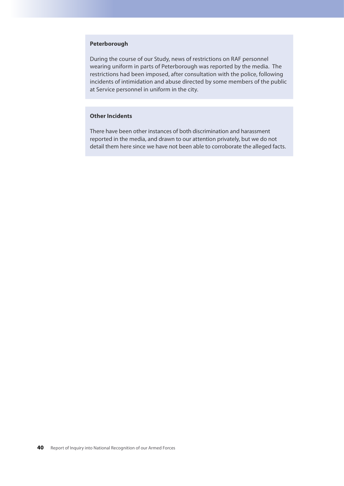### **Peterborough**

During the course of our Study, news of restrictions on RAF personnel wearing uniform in parts of Peterborough was reported by the media. The restrictions had been imposed, after consultation with the police, following incidents of intimidation and abuse directed by some members of the public at Service personnel in uniform in the city.

### **Other Incidents**

There have been other instances of both discrimination and harassment reported in the media, and drawn to our attention privately, but we do not detail them here since we have not been able to corroborate the alleged facts.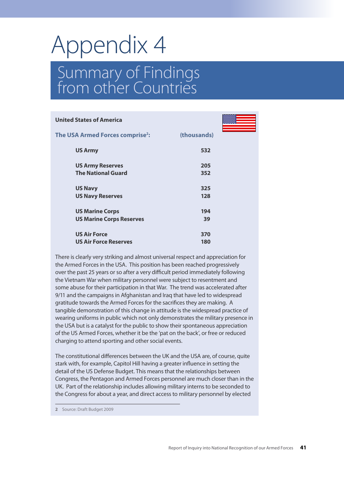# Appendix 4

### Summary of Findings from other Countries

| <b>United States of America</b>                           |             |  |
|-----------------------------------------------------------|-------------|--|
| The USA Armed Forces comprise <sup>2</sup> :              | (thousands) |  |
| <b>US Army</b>                                            | 532         |  |
| <b>US Army Reserves</b><br><b>The National Guard</b>      | 205<br>352  |  |
| <b>US Navy</b><br><b>US Navy Reserves</b>                 | 325<br>128  |  |
| <b>US Marine Corps</b><br><b>US Marine Corps Reserves</b> | 194<br>39   |  |
| <b>US Air Force</b><br><b>US Air Force Reserves</b>       | 370<br>180  |  |

There is clearly very striking and almost universal respect and appreciation for the Armed Forces in the USA. This position has been reached progressively over the past 25 years or so after a very difficult period immediately following the Vietnam War when military personnel were subject to resentment and some abuse for their participation in that War. The trend was accelerated after 9/11 and the campaigns in Afghanistan and Iraq that have led to widespread gratitude towards the Armed Forces for the sacrifices they are making. A tangible demonstration of this change in attitude is the widespread practice of wearing uniforms in public which not only demonstrates the military presence in the USA but is a catalyst for the public to show their spontaneous appreciation of the US Armed Forces, whether it be the 'pat on the back', or free or reduced charging to attend sporting and other social events.

The constitutional differences between the UK and the USA are, of course, quite stark with, for example, Capitol Hill having a greater influence in setting the detail of the US Defense Budget. This means that the relationships between Congress, the Pentagon and Armed Forces personnel are much closer than in the UK. Part of the relationship includes allowing military interns to be seconded to the Congress for about a year, and direct access to military personnel by elected

**2** Source: Draft Budget 2009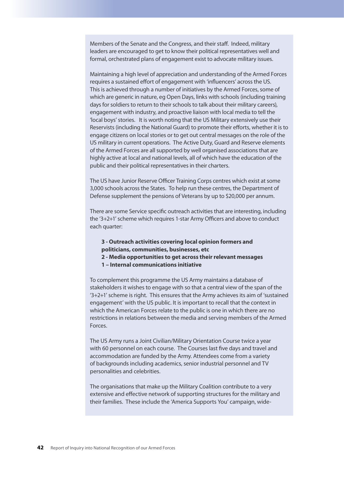Members of the Senate and the Congress, and their staff. Indeed, military leaders are encouraged to get to know their political representatives well and formal, orchestrated plans of engagement exist to advocate military issues.

Maintaining a high level of appreciation and understanding of the Armed Forces requires a sustained effort of engagement with 'influencers' across the US. This is achieved through a number of initiatives by the Armed Forces, some of which are generic in nature, eg Open Days, links with schools (including training days for soldiers to return to their schools to talk about their military careers), engagement with industry, and proactive liaison with local media to tell the 'local boys' stories. It is worth noting that the US Military extensively use their Reservists (including the National Guard) to promote their efforts, whether it is to engage citizens on local stories or to get out central messages on the role of the US military in current operations. The Active Duty, Guard and Reserve elements of the Armed Forces are all supported by well organised associations that are highly active at local and national levels, all of which have the education of the public and their political representatives in their charters.

The US have Junior Reserve Officer Training Corps centres which exist at some 3,000 schools across the States. To help run these centres, the Department of Defense supplement the pensions of Veterans by up to \$20,000 per annum.

There are some Service specific outreach activities that are interesting, including the '3+2+1' scheme which requires 1-star Army Officers and above to conduct each quarter:

- **3 Outreach activities covering local opinion formers and politicians, communities, businesses, etc**
- **2 Media opportunities to get across their relevant messages**
- **1 Internal communications initiative**

To complement this programme the US Army maintains a database of stakeholders it wishes to engage with so that a central view of the span of the '3+2+1' scheme is right. This ensures that the Army achieves its aim of 'sustained engagement' with the US public. It is important to recall that the context in which the American Forces relate to the public is one in which there are no restrictions in relations between the media and serving members of the Armed Forces.

The US Army runs a Joint Civilian/Military Orientation Course twice a year with 60 personnel on each course. The Courses last five days and travel and accommodation are funded by the Army. Attendees come from a variety of backgrounds including academics, senior industrial personnel and TV personalities and celebrities.

The organisations that make up the Military Coalition contribute to a very extensive and effective network of supporting structures for the military and their families. These include the 'America Supports You' campaign, wide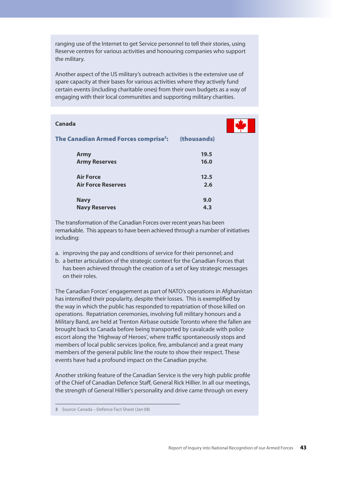ranging use of the Internet to get Service personnel to tell their stories, using Reserve centres for various activities and honouring companies who support the military.

Another aspect of the US military's outreach activities is the extensive use of spare capacity at their bases for various activities where they actively fund certain events (including charitable ones) from their own budgets as a way of engaging with their local communities and supporting military charities.

| Canada                                            |             |  |
|---------------------------------------------------|-------------|--|
| The Canadian Armed Forces comprise <sup>3</sup> : | (thousands) |  |
| <b>Army</b>                                       | 19.5        |  |
| <b>Army Reserves</b>                              | 16.0        |  |
| <b>Air Force</b>                                  | 12.5        |  |
| <b>Air Force Reserves</b>                         | 2.6         |  |
| <b>Navy</b>                                       | 9.0         |  |
| <b>Navy Reserves</b>                              | 4.3         |  |

The transformation of the Canadian Forces over recent years has been remarkable. This appears to have been achieved through a number of initiatives including:

- a. improving the pay and conditions of service for their personnel; and
- b. a better articulation of the strategic context for the Canadian Forces that has been achieved through the creation of a set of key strategic messages on their roles.

The Canadian Forces' engagement as part of NATO's operations in Afghanistan has intensified their popularity, despite their losses. This is exemplified by the way in which the public has responded to repatriation of those killed on operations. Repatriation ceremonies, involving full military honours and a Military Band, are held at Trenton Airbase outside Toronto where the fallen are brought back to Canada before being transported by cavalcade with police escort along the 'Highway of Heroes', where traffic spontaneously stops and members of local public services (police, fire, ambulance) and a great many members of the general public line the route to show their respect. These events have had a profound impact on the Canadian psyche.

Another striking feature of the Canadian Service is the very high public profile of the Chief of Canadian Defence Staff, General Rick Hillier. In all our meetings, the strength of General Hillier's personality and drive came through on every

**3** Source: Canada – Defence Fact Sheet (Jan 08)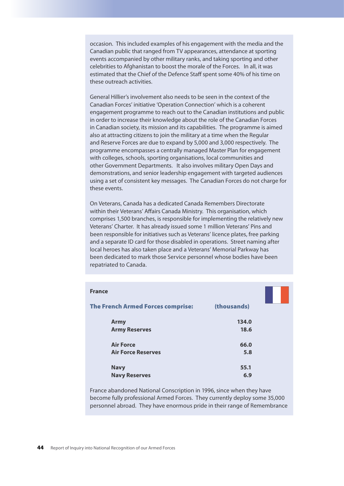occasion. This included examples of his engagement with the media and the Canadian public that ranged from TV appearances, attendance at sporting events accompanied by other military ranks, and taking sporting and other celebrities to Afghanistan to boost the morale of the Forces. In all, it was estimated that the Chief of the Defence Staff spent some 40% of his time on these outreach activities.

General Hillier's involvement also needs to be seen in the context of the Canadian Forces' initiative 'Operation Connection' which is a coherent engagement programme to reach out to the Canadian institutions and public in order to increase their knowledge about the role of the Canadian Forces in Canadian society, its mission and its capabilities. The programme is aimed also at attracting citizens to join the military at a time when the Regular and Reserve Forces are due to expand by 5,000 and 3,000 respectively. The programme encompasses a centrally managed Master Plan for engagement with colleges, schools, sporting organisations, local communities and other Government Departments. It also involves military Open Days and demonstrations, and senior leadership engagement with targeted audiences using a set of consistent key messages. The Canadian Forces do not charge for these events.

On Veterans, Canada has a dedicated Canada Remembers Directorate within their Veterans' Affairs Canada Ministry. This organisation, which comprises 1,500 branches, is responsible for implementing the relatively new Veterans' Charter. It has already issued some 1 million Veterans' Pins and been responsible for initiatives such as Veterans' licence plates, free parking and a separate ID card for those disabled in operations. Street naming after local heroes has also taken place and a Veterans' Memorial Parkway has been dedicated to mark those Service personnel whose bodies have been repatriated to Canada.

| <b>France</b>                            |             |  |
|------------------------------------------|-------------|--|
| <b>The French Armed Forces comprise:</b> | (thousands) |  |
| <b>Army</b>                              | 134.0       |  |
| <b>Army Reserves</b>                     | 18.6        |  |
| <b>Air Force</b>                         | 66.0        |  |
| <b>Air Force Reserves</b>                | 5.8         |  |
| <b>Navy</b>                              | 55.1        |  |
| <b>Navy Reserves</b>                     | 6.9         |  |

France abandoned National Conscription in 1996, since when they have become fully professional Armed Forces. They currently deploy some 35,000 personnel abroad. They have enormous pride in their range of Remembrance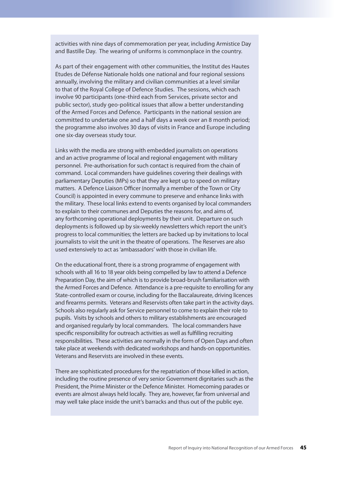activities with nine days of commemoration per year, including Armistice Day and Bastille Day. The wearing of uniforms is commonplace in the country.

As part of their engagement with other communities, the Institut des Hautes Etudes de Défense Nationale holds one national and four regional sessions annually, involving the military and civilian communities at a level similar to that of the Royal College of Defence Studies. The sessions, which each involve 90 participants (one-third each from Services, private sector and public sector), study geo-political issues that allow a better understanding of the Armed Forces and Defence. Participants in the national session are committed to undertake one and a half days a week over an 8 month period; the programme also involves 30 days of visits in France and Europe including one six-day overseas study tour.

Links with the media are strong with embedded journalists on operations and an active programme of local and regional engagement with military personnel. Pre-authorisation for such contact is required from the chain of command. Local commanders have guidelines covering their dealings with parliamentary Deputies (MPs) so that they are kept up to speed on military matters. A Defence Liaison Officer (normally a member of the Town or City Council) is appointed in every commune to preserve and enhance links with the military. These local links extend to events organised by local commanders to explain to their communes and Deputies the reasons for, and aims of, any forthcoming operational deployments by their unit. Departure on such deployments is followed up by six-weekly newsletters which report the unit's progress to local communities; the letters are backed up by invitations to local journalists to visit the unit in the theatre of operations. The Reserves are also used extensively to act as 'ambassadors' with those in civilian life.

On the educational front, there is a strong programme of engagement with schools with all 16 to 18 year olds being compelled by law to attend a Defence Preparation Day, the aim of which is to provide broad-brush familiarisation with the Armed Forces and Defence. Attendance is a pre-requisite to enrolling for any State-controlled exam or course, including for the Baccalaureate, driving licences and firearms permits. Veterans and Reservists often take part in the activity days. Schools also regularly ask for Service personnel to come to explain their role to pupils. Visits by schools and others to military establishments are encouraged and organised regularly by local commanders. The local commanders have specific responsibility for outreach activities as well as fulfilling recruiting responsibilities. These activities are normally in the form of Open Days and often take place at weekends with dedicated workshops and hands-on opportunities. Veterans and Reservists are involved in these events.

There are sophisticated procedures for the repatriation of those killed in action, including the routine presence of very senior Government dignitaries such as the President, the Prime Minister or the Defence Minister. Homecoming parades or events are almost always held locally. They are, however, far from universal and may well take place inside the unit's barracks and thus out of the public eye.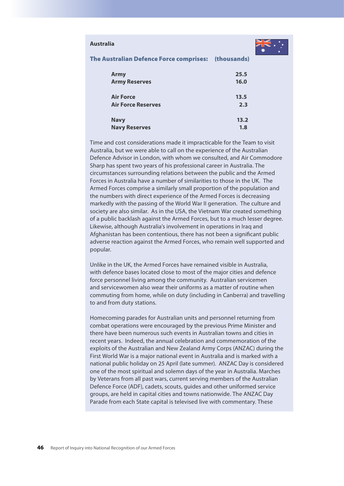### **Australia**



#### The Australian Defence Force comprises: (thousands)

| <b>Army</b>               | 25.5 |
|---------------------------|------|
| <b>Army Reserves</b>      | 16.0 |
| <b>Air Force</b>          | 13.5 |
| <b>Air Force Reserves</b> | 2.3  |
| <b>Navy</b>               | 13.2 |
| <b>Navy Reserves</b>      | 1.8  |

Time and cost considerations made it impracticable for the Team to visit Australia, but we were able to call on the experience of the Australian Defence Advisor in London, with whom we consulted, and Air Commodore Sharp has spent two years of his professional career in Australia. The circumstances surrounding relations between the public and the Armed Forces in Australia have a number of similarities to those in the UK. The Armed Forces comprise a similarly small proportion of the population and the numbers with direct experience of the Armed Forces is decreasing markedly with the passing of the World War II generation. The culture and society are also similar. As in the USA, the Vietnam War created something of a public backlash against the Armed Forces, but to a much lesser degree. Likewise, although Australia's involvement in operations in Iraq and Afghanistan has been contentious, there has not been a significant public adverse reaction against the Armed Forces, who remain well supported and popular.

Unlike in the UK, the Armed Forces have remained visible in Australia, with defence bases located close to most of the major cities and defence force personnel living among the community. Australian servicemen and servicewomen also wear their uniforms as a matter of routine when commuting from home, while on duty (including in Canberra) and travelling to and from duty stations.

Homecoming parades for Australian units and personnel returning from combat operations were encouraged by the previous Prime Minister and there have been numerous such events in Australian towns and cities in recent years. Indeed, the annual celebration and commemoration of the exploits of the Australian and New Zealand Army Corps (ANZAC) during the First World War is a major national event in Australia and is marked with a national public holiday on 25 April (late summer). ANZAC Day is considered one of the most spiritual and solemn days of the year in Australia. Marches by Veterans from all past wars, current serving members of the Australian Defence Force (ADF), cadets, scouts, guides and other uniformed service groups, are held in capital cities and towns nationwide. The ANZAC Day Parade from each State capital is televised live with commentary. These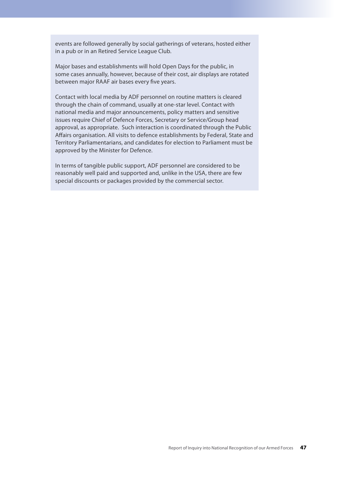events are followed generally by social gatherings of veterans, hosted either in a pub or in an Retired Service League Club.

Major bases and establishments will hold Open Days for the public, in some cases annually, however, because of their cost, air displays are rotated between major RAAF air bases every five years.

Contact with local media by ADF personnel on routine matters is cleared through the chain of command, usually at one-star level. Contact with national media and major announcements, policy matters and sensitive issues require Chief of Defence Forces, Secretary or Service/Group head approval, as appropriate. Such interaction is coordinated through the Public Affairs organisation. All visits to defence establishments by Federal, State and Territory Parliamentarians, and candidates for election to Parliament must be approved by the Minister for Defence.

In terms of tangible public support, ADF personnel are considered to be reasonably well paid and supported and, unlike in the USA, there are few special discounts or packages provided by the commercial sector.